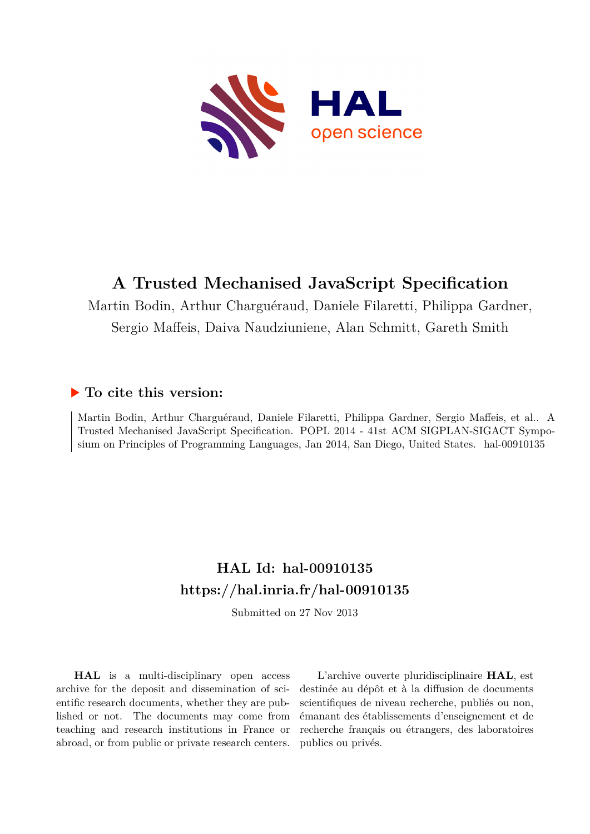

# **A Trusted Mechanised JavaScript Specification**

Martin Bodin, Arthur Charguéraud, Daniele Filaretti, Philippa Gardner, Sergio Maffeis, Daiva Naudziuniene, Alan Schmitt, Gareth Smith

## **To cite this version:**

Martin Bodin, Arthur Charguéraud, Daniele Filaretti, Philippa Gardner, Sergio Maffeis, et al.. A Trusted Mechanised JavaScript Specification. POPL 2014 - 41st ACM SIGPLAN-SIGACT Symposium on Principles of Programming Languages, Jan 2014, San Diego, United States. hal-00910135

## **HAL Id: hal-00910135 <https://hal.inria.fr/hal-00910135>**

Submitted on 27 Nov 2013

**HAL** is a multi-disciplinary open access archive for the deposit and dissemination of scientific research documents, whether they are published or not. The documents may come from teaching and research institutions in France or abroad, or from public or private research centers.

L'archive ouverte pluridisciplinaire **HAL**, est destinée au dépôt et à la diffusion de documents scientifiques de niveau recherche, publiés ou non, émanant des établissements d'enseignement et de recherche français ou étrangers, des laboratoires publics ou privés.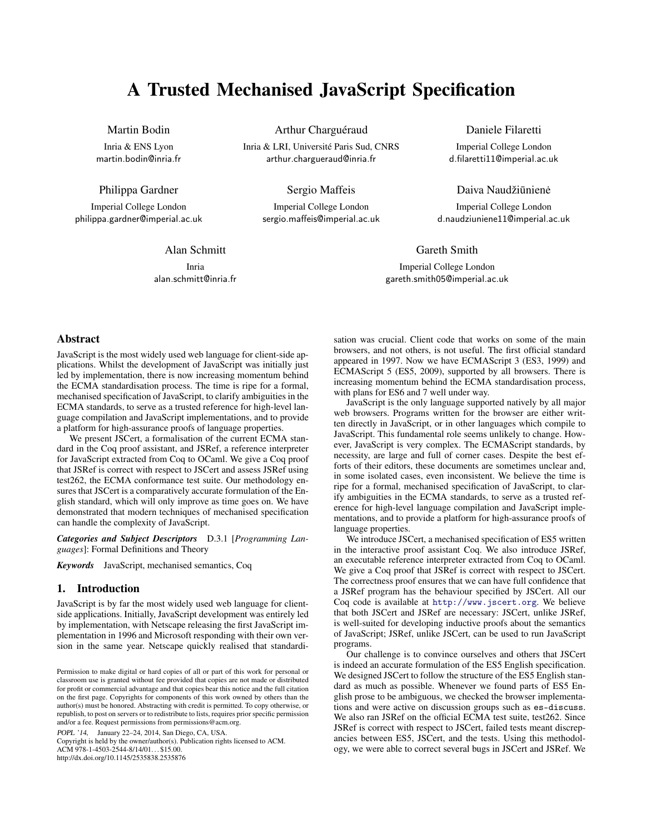## A Trusted Mechanised JavaScript Specification

Martin Bodin

Inria & ENS Lyon martin.bodin@inria.fr

## Philippa Gardner

Imperial College London philippa.gardner@imperial.ac.uk

Alan Schmitt

Inria alan.schmitt@inria.fr Arthur Charguéraud

Inria & LRI, Université Paris Sud, CNRS arthur.chargueraud@inria.fr

Sergio Maffeis

Imperial College London sergio.maffeis@imperial.ac.uk

## Daniele Filaretti

Imperial College London d.filaretti11@imperial.ac.uk

## Daiva Naudžiūnienė

Imperial College London d.naudziuniene11@imperial.ac.uk

## Gareth Smith

Imperial College London gareth.smith05@imperial.ac.uk

## Abstract

JavaScript is the most widely used web language for client-side applications. Whilst the development of JavaScript was initially just led by implementation, there is now increasing momentum behind the ECMA standardisation process. The time is ripe for a formal, mechanised specification of JavaScript, to clarify ambiguities in the ECMA standards, to serve as a trusted reference for high-level language compilation and JavaScript implementations, and to provide a platform for high-assurance proofs of language properties.

We present JSCert, a formalisation of the current ECMA standard in the Coq proof assistant, and JSRef, a reference interpreter for JavaScript extracted from Coq to OCaml. We give a Coq proof that JSRef is correct with respect to JSCert and assess JSRef using test262, the ECMA conformance test suite. Our methodology ensures that JSCert is a comparatively accurate formulation of the English standard, which will only improve as time goes on. We have demonstrated that modern techniques of mechanised specification can handle the complexity of JavaScript.

*Categories and Subject Descriptors* D.3.1 [*Programming Languages*]: Formal Definitions and Theory

*Keywords* JavaScript, mechanised semantics, Coq

## <span id="page-1-0"></span>1. Introduction

JavaScript is by far the most widely used web language for clientside applications. Initially, JavaScript development was entirely led by implementation, with Netscape releasing the first JavaScript implementation in 1996 and Microsoft responding with their own version in the same year. Netscape quickly realised that standardi-

POPL '14, January 22–24, 2014, San Diego, CA, USA.

Copyright is held by the owner/author(s). Publication rights licensed to ACM. ACM 978-1-4503-2544-8/14/01... \$15.00. http://dx.doi.org/10.1145/2535838.2535876

sation was crucial. Client code that works on some of the main browsers, and not others, is not useful. The first official standard appeared in 1997. Now we have ECMAScript 3 (ES3, 1999) and ECMAScript 5 (ES5, 2009), supported by all browsers. There is increasing momentum behind the ECMA standardisation process, with plans for ES6 and 7 well under way.

JavaScript is the only language supported natively by all major web browsers. Programs written for the browser are either written directly in JavaScript, or in other languages which compile to JavaScript. This fundamental role seems unlikely to change. However, JavaScript is very complex. The ECMAScript standards, by necessity, are large and full of corner cases. Despite the best efforts of their editors, these documents are sometimes unclear and, in some isolated cases, even inconsistent. We believe the time is ripe for a formal, mechanised specification of JavaScript, to clarify ambiguities in the ECMA standards, to serve as a trusted reference for high-level language compilation and JavaScript implementations, and to provide a platform for high-assurance proofs of language properties.

We introduce JSCert, a mechanised specification of ES5 written in the interactive proof assistant Coq. We also introduce JSRef, an executable reference interpreter extracted from Coq to OCaml. We give a Coq proof that JSRef is correct with respect to JSCert. The correctness proof ensures that we can have full confidence that a JSRef program has the behaviour specified by JSCert. All our Coq code is available at <http://www.jscert.org>. We believe that both JSCert and JSRef are necessary: JSCert, unlike JSRef, is well-suited for developing inductive proofs about the semantics of JavaScript; JSRef, unlike JSCert, can be used to run JavaScript programs.

Our challenge is to convince ourselves and others that JSCert is indeed an accurate formulation of the ES5 English specification. We designed JSCert to follow the structure of the ES5 English standard as much as possible. Whenever we found parts of ES5 English prose to be ambiguous, we checked the browser implementations and were active on discussion groups such as es-discuss. We also ran JSRef on the official ECMA test suite, test262. Since JSRef is correct with respect to JSCert, failed tests meant discrepancies between ES5, JSCert, and the tests. Using this methodology, we were able to correct several bugs in JSCert and JSRef. We

Permission to make digital or hard copies of all or part of this work for personal or classroom use is granted without fee provided that copies are not made or distributed for profit or commercial advantage and that copies bear this notice and the full citation on the first page. Copyrights for components of this work owned by others than the author(s) must be honored. Abstracting with credit is permitted. To copy otherwise, or republish, to post on servers or to redistribute to lists, requires prior specific permission and/or a fee. Request permissions from permissions@acm.org.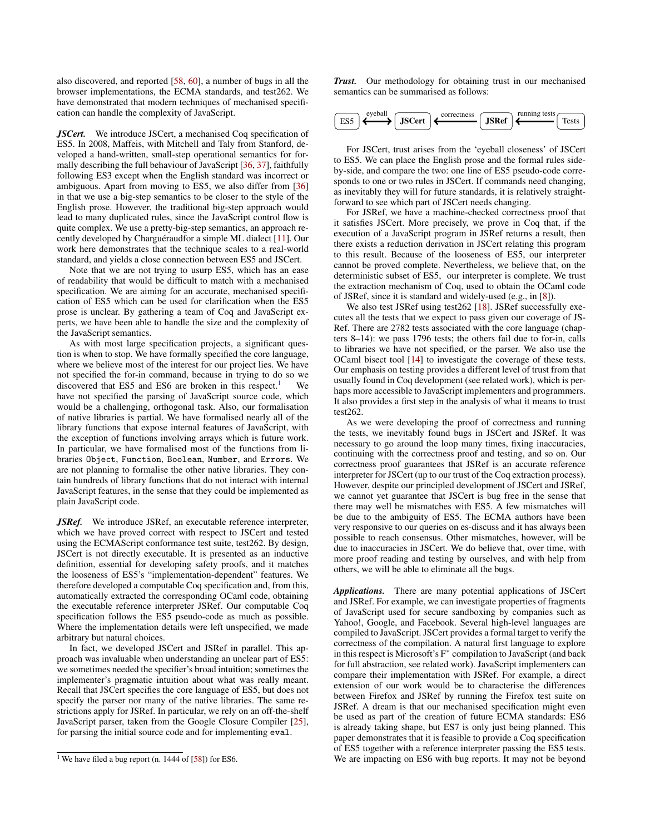also discovered, and reported [\[58,](#page-14-0) [60\]](#page-14-1), a number of bugs in all the browser implementations, the ECMA standards, and test262. We have demonstrated that modern techniques of mechanised specification can handle the complexity of JavaScript.

*JSCert.* We introduce JSCert, a mechanised Coq specification of ES5. In 2008, Maffeis, with Mitchell and Taly from Stanford, developed a hand-written, small-step operational semantics for formally describing the full behaviour of JavaScript [\[36,](#page-14-2) [37\]](#page-14-3), faithfully following ES3 except when the English standard was incorrect or ambiguous. Apart from moving to ES5, we also differ from [\[36\]](#page-14-2) in that we use a big-step semantics to be closer to the style of the English prose. However, the traditional big-step approach would lead to many duplicated rules, since the JavaScript control flow is quite complex. We use a pretty-big-step semantics, an approach recently developed by Charguéraudfor a simple ML dialect [\[11\]](#page-13-0). Our work here demonstrates that the technique scales to a real-world standard, and yields a close connection between ES5 and JSCert.

Note that we are not trying to usurp ES5, which has an ease of readability that would be difficult to match with a mechanised specification. We are aiming for an accurate, mechanised specification of ES5 which can be used for clarification when the ES5 prose is unclear. By gathering a team of Coq and JavaScript experts, we have been able to handle the size and the complexity of the JavaScript semantics.

As with most large specification projects, a significant question is when to stop. We have formally specified the core language, where we believe most of the interest for our project lies. We have not specified the for-in command, because in trying to do so we discovered that ES5 and ES6 are broken in this respect.<sup>[1](#page-2-0)</sup> We have not specified the parsing of JavaScript source code, which would be a challenging, orthogonal task. Also, our formalisation of native libraries is partial. We have formalised nearly all of the library functions that expose internal features of JavaScript, with the exception of functions involving arrays which is future work. In particular, we have formalised most of the functions from libraries Object, Function, Boolean, Number, and Errors. We are not planning to formalise the other native libraries. They contain hundreds of library functions that do not interact with internal JavaScript features, in the sense that they could be implemented as plain JavaScript code.

*JSRef.* We introduce JSRef, an executable reference interpreter, which we have proved correct with respect to JSCert and tested using the ECMAScript conformance test suite, test262. By design, JSCert is not directly executable. It is presented as an inductive definition, essential for developing safety proofs, and it matches the looseness of ES5's "implementation-dependent" features. We therefore developed a computable Coq specification and, from this, automatically extracted the corresponding OCaml code, obtaining the executable reference interpreter JSRef. Our computable Coq specification follows the ES5 pseudo-code as much as possible. Where the implementation details were left unspecified, we made arbitrary but natural choices.

In fact, we developed JSCert and JSRef in parallel. This approach was invaluable when understanding an unclear part of ES5: we sometimes needed the specifier's broad intuition; sometimes the implementer's pragmatic intuition about what was really meant. Recall that JSCert specifies the core language of ES5, but does not specify the parser nor many of the native libraries. The same restrictions apply for JSRef. In particular, we rely on an off-the-shelf JavaScript parser, taken from the Google Closure Compiler [\[25\]](#page-14-4), for parsing the initial source code and for implementing eval.

*Trust.* Our methodology for obtaining trust in our mechanised semantics can be summarised as follows:



For JSCert, trust arises from the 'eyeball closeness' of JSCert to ES5. We can place the English prose and the formal rules sideby-side, and compare the two: one line of ES5 pseudo-code corresponds to one or two rules in JSCert. If commands need changing, as inevitably they will for future standards, it is relatively straightforward to see which part of JSCert needs changing.

For JSRef, we have a machine-checked correctness proof that it satisfies JSCert. More precisely, we prove in Coq that, if the execution of a JavaScript program in JSRef returns a result, then there exists a reduction derivation in JSCert relating this program to this result. Because of the looseness of ES5, our interpreter cannot be proved complete. Nevertheless, we believe that, on the deterministic subset of ES5, our interpreter is complete. We trust the extraction mechanism of Coq, used to obtain the OCaml code of JSRef, since it is standard and widely-used (e.g., in [\[8\]](#page-13-1)).

We also test JSRef using test262 [\[18\]](#page-13-2). JSRef successfully executes all the tests that we expect to pass given our coverage of JS-Ref. There are 2782 tests associated with the core language (chapters 8–14): we pass 1796 tests; the others fail due to for-in, calls to libraries we have not specified, or the parser. We also use the OCaml bisect tool [\[14\]](#page-13-3) to investigate the coverage of these tests. Our emphasis on testing provides a different level of trust from that usually found in Coq development (see related work), which is perhaps more accessible to JavaScript implementers and programmers. It also provides a first step in the analysis of what it means to trust test<sub>262</sub>

As we were developing the proof of correctness and running the tests, we inevitably found bugs in JSCert and JSRef. It was necessary to go around the loop many times, fixing inaccuracies, continuing with the correctness proof and testing, and so on. Our correctness proof guarantees that JSRef is an accurate reference interpreter for JSCert (up to our trust of the Coq extraction process). However, despite our principled development of JSCert and JSRef, we cannot yet guarantee that JSCert is bug free in the sense that there may well be mismatches with ES5. A few mismatches will be due to the ambiguity of ES5. The ECMA authors have been very responsive to our queries on es-discuss and it has always been possible to reach consensus. Other mismatches, however, will be due to inaccuracies in JSCert. We do believe that, over time, with more proof reading and testing by ourselves, and with help from others, we will be able to eliminate all the bugs.

*Applications.* There are many potential applications of JSCert and JSRef. For example, we can investigate properties of fragments of JavaScript used for secure sandboxing by companies such as Yahoo!, Google, and Facebook. Several high-level languages are compiled to JavaScript. JSCert provides a formal target to verify the correctness of the compilation. A natural first language to explore in this respect is Microsoft's F<sup>∗</sup> compilation to JavaScript (and back for full abstraction, see related work). JavaScript implementers can compare their implementation with JSRef. For example, a direct extension of our work would be to characterise the differences between Firefox and JSRef by running the Firefox test suite on JSRef. A dream is that our mechanised specification might even be used as part of the creation of future ECMA standards: ES6 is already taking shape, but ES7 is only just being planned. This paper demonstrates that it is feasible to provide a Coq specification of ES5 together with a reference interpreter passing the ES5 tests. We are impacting on ES6 with bug reports. It may not be beyond

<span id="page-2-0"></span><sup>&</sup>lt;sup>1</sup> We have filed a bug report (n.  $1444$  of [\[58\]](#page-14-0)) for ES6.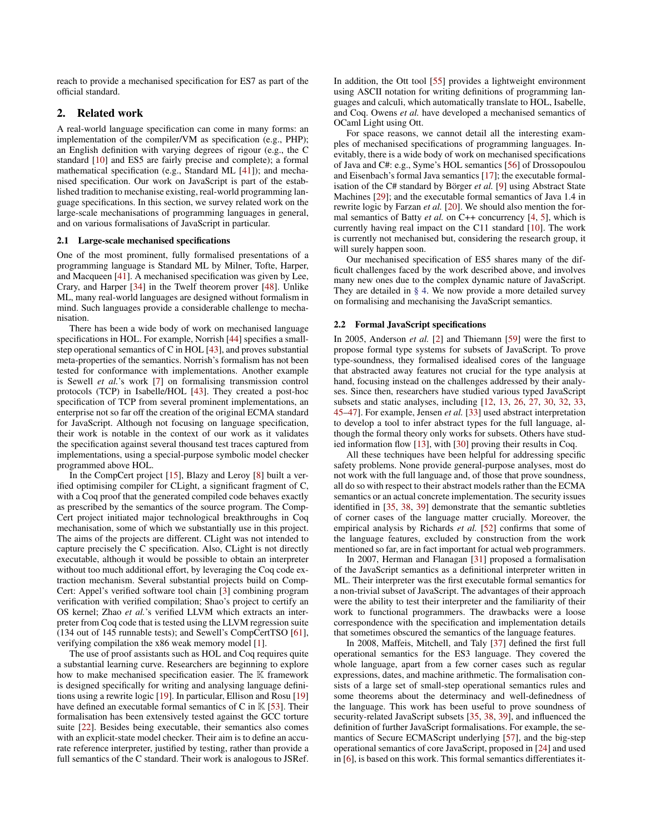reach to provide a mechanised specification for ES7 as part of the official standard.

## 2. Related work

A real-world language specification can come in many forms: an implementation of the compiler/VM as specification (e.g., PHP); an English definition with varying degrees of rigour (e.g., the C standard [\[10\]](#page-13-4) and ES5 are fairly precise and complete); a formal mathematical specification (e.g., Standard ML [\[41\]](#page-14-5)); and mechanised specification. Our work on JavaScript is part of the established tradition to mechanise existing, real-world programming language specifications. In this section, we survey related work on the large-scale mechanisations of programming languages in general, and on various formalisations of JavaScript in particular.

## 2.1 Large-scale mechanised specifications

One of the most prominent, fully formalised presentations of a programming language is Standard ML by Milner, Tofte, Harper, and Macqueen [\[41\]](#page-14-5). A mechanised specification was given by Lee, Crary, and Harper [\[34\]](#page-14-6) in the Twelf theorem prover [\[48\]](#page-14-7). Unlike ML, many real-world languages are designed without formalism in mind. Such languages provide a considerable challenge to mechanisation.

There has been a wide body of work on mechanised language specifications in HOL. For example, Norrish [\[44\]](#page-14-8) specifies a smallstep operational semantics of C in HOL  $[43]$ , and proves substantial meta-properties of the semantics. Norrish's formalism has not been tested for conformance with implementations. Another example is Sewell *et al.*'s work [\[7\]](#page-13-5) on formalising transmission control protocols (TCP) in Isabelle/HOL [\[43\]](#page-14-9). They created a post-hoc specification of TCP from several prominent implementations, an enterprise not so far off the creation of the original ECMA standard for JavaScript. Although not focusing on language specification, their work is notable in the context of our work as it validates the specification against several thousand test traces captured from implementations, using a special-purpose symbolic model checker programmed above HOL.

In the CompCert project [\[15\]](#page-13-6), Blazy and Leroy [\[8\]](#page-13-1) built a verified optimising compiler for CLight, a significant fragment of C, with a Coq proof that the generated compiled code behaves exactly as prescribed by the semantics of the source program. The Comp-Cert project initiated major technological breakthroughs in Coq mechanisation, some of which we substantially use in this project. The aims of the projects are different. CLight was not intended to capture precisely the C specification. Also, CLight is not directly executable, although it would be possible to obtain an interpreter without too much additional effort, by leveraging the Coq code extraction mechanism. Several substantial projects build on Comp-Cert: Appel's verified software tool chain [\[3\]](#page-13-7) combining program verification with verified compilation; Shao's project to certify an OS kernel; Zhao *et al.*'s verified LLVM which extracts an interpreter from Coq code that is tested using the LLVM regression suite (134 out of 145 runnable tests); and Sewell's CompCertTSO [\[61\]](#page-14-10), verifying compilation the x86 weak memory model [\[1\]](#page-13-8).

The use of proof assistants such as HOL and Coq requires quite a substantial learning curve. Researchers are beginning to explore how to make mechanised specification easier. The  $K$  framework is designed specifically for writing and analysing language definitions using a rewrite logic [\[19\]](#page-13-9). In particular, Ellison and Rosu [\[19\]](#page-13-9) have defined an executable formal semantics of C in  $K$  [\[53\]](#page-14-11). Their formalisation has been extensively tested against the GCC torture suite [\[22\]](#page-14-12). Besides being executable, their semantics also comes with an explicit-state model checker. Their aim is to define an accurate reference interpreter, justified by testing, rather than provide a full semantics of the C standard. Their work is analogous to JSRef. In addition, the Ott tool [\[55\]](#page-14-13) provides a lightweight environment using ASCII notation for writing definitions of programming languages and calculi, which automatically translate to HOL, Isabelle, and Coq. Owens *et al.* have developed a mechanised semantics of OCaml Light using Ott.

For space reasons, we cannot detail all the interesting examples of mechanised specifications of programming languages. Inevitably, there is a wide body of work on mechanised specifications of Java and C#: e.g., Syme's HOL semantics [\[56\]](#page-14-14) of Drossopoulou and Eisenbach's formal Java semantics [\[17\]](#page-13-10); the executable formalisation of the C# standard by Börger *et al.* [\[9\]](#page-13-11) using Abstract State Machines [\[29\]](#page-14-15); and the executable formal semantics of Java 1.4 in rewrite logic by Farzan *et al.* [\[20\]](#page-13-12). We should also mention the formal semantics of Batty *et al.* on C++ concurrency [\[4,](#page-13-13) [5\]](#page-13-14), which is currently having real impact on the C11 standard [\[10\]](#page-13-4). The work is currently not mechanised but, considering the research group, it will surely happen soon.

Our mechanised specification of ES5 shares many of the difficult challenges faced by the work described above, and involves many new ones due to the complex dynamic nature of JavaScript. They are detailed in [§ 4.](#page-5-0) We now provide a more detailed survey on formalising and mechanising the JavaScript semantics.

## 2.2 Formal JavaScript specifications

In 2005, Anderson *et al.* [\[2\]](#page-13-15) and Thiemann [\[59\]](#page-14-16) were the first to propose formal type systems for subsets of JavaScript. To prove type-soundness, they formalised idealised cores of the language that abstracted away features not crucial for the type analysis at hand, focusing instead on the challenges addressed by their analyses. Since then, researchers have studied various typed JavaScript subsets and static analyses, including [\[12,](#page-13-16) [13,](#page-13-17) [26,](#page-14-17) [27,](#page-14-18) [30,](#page-14-19) [32,](#page-14-20) [33,](#page-14-21) [45](#page-14-22)[–47\]](#page-14-23). For example, Jensen *et al.* [\[33\]](#page-14-21) used abstract interpretation to develop a tool to infer abstract types for the full language, although the formal theory only works for subsets. Others have studied information flow [\[13\]](#page-13-17), with [\[30\]](#page-14-19) proving their results in Coq.

All these techniques have been helpful for addressing specific safety problems. None provide general-purpose analyses, most do not work with the full language and, of those that prove soundness, all do so with respect to their abstract models rather than the ECMA semantics or an actual concrete implementation. The security issues identified in [\[35,](#page-14-24) [38,](#page-14-25) [39\]](#page-14-26) demonstrate that the semantic subtleties of corner cases of the language matter crucially. Moreover, the empirical analysis by Richards *et al.* [\[52\]](#page-14-27) confirms that some of the language features, excluded by construction from the work mentioned so far, are in fact important for actual web programmers.

In 2007, Herman and Flanagan [\[31\]](#page-14-28) proposed a formalisation of the JavaScript semantics as a definitional interpreter written in ML. Their interpreter was the first executable formal semantics for a non-trivial subset of JavaScript. The advantages of their approach were the ability to test their interpreter and the familiarity of their work to functional programmers. The drawbacks were a loose correspondence with the specification and implementation details that sometimes obscured the semantics of the language features.

In 2008, Maffeis, Mitchell, and Taly [\[37\]](#page-14-3) defined the first full operational semantics for the ES3 language. They covered the whole language, apart from a few corner cases such as regular expressions, dates, and machine arithmetic. The formalisation consists of a large set of small-step operational semantics rules and some theorems about the determinacy and well-definedness of the language. This work has been useful to prove soundness of security-related JavaScript subsets [\[35,](#page-14-24) [38,](#page-14-25) [39\]](#page-14-26), and influenced the definition of further JavaScript formalisations. For example, the semantics of Secure ECMAScript underlying [\[57\]](#page-14-29), and the big-step operational semantics of core JavaScript, proposed in [\[24\]](#page-14-30) and used in [\[6\]](#page-13-18), is based on this work. This formal semantics differentiates it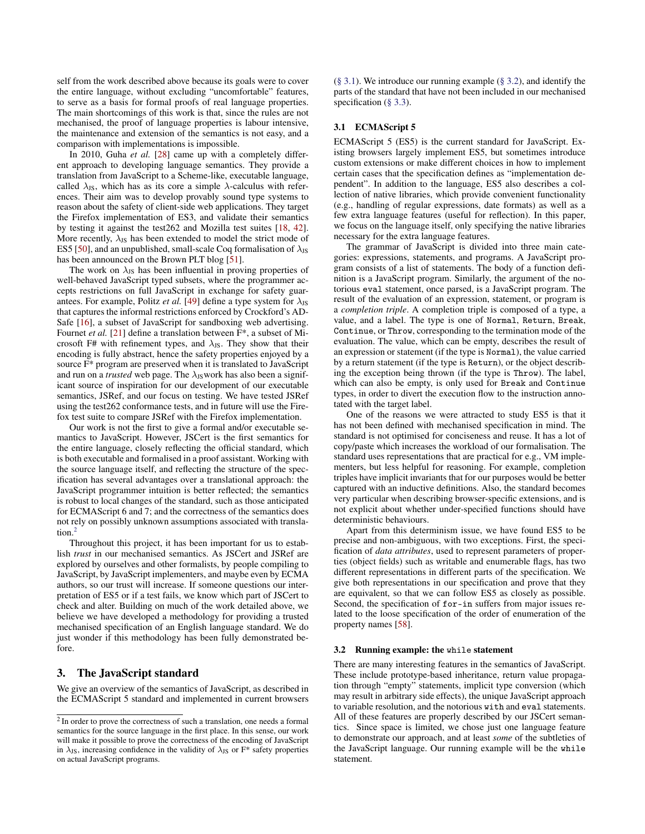self from the work described above because its goals were to cover the entire language, without excluding "uncomfortable" features, to serve as a basis for formal proofs of real language properties. The main shortcomings of this work is that, since the rules are not mechanised, the proof of language properties is labour intensive, the maintenance and extension of the semantics is not easy, and a comparison with implementations is impossible.

In 2010, Guha *et al.* [\[28\]](#page-14-31) came up with a completely different approach to developing language semantics. They provide a translation from JavaScript to a Scheme-like, executable language, called  $\lambda_{\text{JS}}$ , which has as its core a simple  $\lambda$ -calculus with references. Their aim was to develop provably sound type systems to reason about the safety of client-side web applications. They target the Firefox implementation of ES3, and validate their semantics by testing it against the test262 and Mozilla test suites [\[18,](#page-13-2) [42\]](#page-14-32). More recently,  $\lambda_{JS}$  has been extended to model the strict mode of ES5 [\[50\]](#page-14-33), and an unpublished, small-scale Coq formalisation of  $\lambda_{\text{JS}}$ has been announced on the Brown PLT blog [\[51\]](#page-14-34).

The work on  $\lambda_{\text{JS}}$  has been influential in proving properties of well-behaved JavaScript typed subsets, where the programmer accepts restrictions on full JavaScript in exchange for safety guarantees. For example, Politz *et al.* [\[49\]](#page-14-35) define a type system for  $\lambda_{JS}$ that captures the informal restrictions enforced by Crockford's AD-Safe [\[16\]](#page-13-19), a subset of JavaScript for sandboxing web advertising. Fournet *et al.* [\[21\]](#page-13-20) define a translation between F\*, a subset of Microsoft F# with refinement types, and  $\lambda_{JS}$ . They show that their encoding is fully abstract, hence the safety properties enjoyed by a source F\* program are preserved when it is translated to JavaScript and run on a *trusted* web page. The  $\lambda_{\text{JS}}$ work has also been a significant source of inspiration for our development of our executable semantics, JSRef, and our focus on testing. We have tested JSRef using the test262 conformance tests, and in future will use the Firefox test suite to compare JSRef with the Firefox implementation.

Our work is not the first to give a formal and/or executable semantics to JavaScript. However, JSCert is the first semantics for the entire language, closely reflecting the official standard, which is both executable and formalised in a proof assistant. Working with the source language itself, and reflecting the structure of the specification has several advantages over a translational approach: the JavaScript programmer intuition is better reflected; the semantics is robust to local changes of the standard, such as those anticipated for ECMAScript 6 and 7; and the correctness of the semantics does not rely on possibly unknown assumptions associated with transla-tion.<sup>[2](#page-4-0)</sup>

Throughout this project, it has been important for us to establish *trust* in our mechanised semantics. As JSCert and JSRef are explored by ourselves and other formalists, by people compiling to JavaScript, by JavaScript implementers, and maybe even by ECMA authors, so our trust will increase. If someone questions our interpretation of ES5 or if a test fails, we know which part of JSCert to check and alter. Building on much of the work detailed above, we believe we have developed a methodology for providing a trusted mechanised specification of an English language standard. We do just wonder if this methodology has been fully demonstrated before.

## <span id="page-4-3"></span>3. The JavaScript standard

We give an overview of the semantics of JavaScript, as described in the ECMAScript 5 standard and implemented in current browsers [\(§ 3.1\)](#page-4-1). We introduce our running example [\(§ 3.2\)](#page-4-2), and identify the parts of the standard that have not been included in our mechanised specification [\(§ 3.3\)](#page-5-1).

## <span id="page-4-1"></span>3.1 ECMAScript 5

ECMAScript 5 (ES5) is the current standard for JavaScript. Existing browsers largely implement ES5, but sometimes introduce custom extensions or make different choices in how to implement certain cases that the specification defines as "implementation dependent". In addition to the language, ES5 also describes a collection of native libraries, which provide convenient functionality (e.g., handling of regular expressions, date formats) as well as a few extra language features (useful for reflection). In this paper, we focus on the language itself, only specifying the native libraries necessary for the extra language features.

The grammar of JavaScript is divided into three main categories: expressions, statements, and programs. A JavaScript program consists of a list of statements. The body of a function definition is a JavaScript program. Similarly, the argument of the notorious eval statement, once parsed, is a JavaScript program. The result of the evaluation of an expression, statement, or program is a *completion triple*. A completion triple is composed of a type, a value, and a label. The type is one of Normal, Return, Break, Continue, or Throw, corresponding to the termination mode of the evaluation. The value, which can be empty, describes the result of an expression or statement (if the type is Normal), the value carried by a return statement (if the type is Return), or the object describing the exception being thrown (if the type is Throw). The label, which can also be empty, is only used for Break and Continue types, in order to divert the execution flow to the instruction annotated with the target label.

One of the reasons we were attracted to study ES5 is that it has not been defined with mechanised specification in mind. The standard is not optimised for conciseness and reuse. It has a lot of copy/paste which increases the workload of our formalisation. The standard uses representations that are practical for e.g., VM implementers, but less helpful for reasoning. For example, completion triples have implicit invariants that for our purposes would be better captured with an inductive definitions. Also, the standard becomes very particular when describing browser-specific extensions, and is not explicit about whether under-specified functions should have deterministic behaviours.

Apart from this determinism issue, we have found ES5 to be precise and non-ambiguous, with two exceptions. First, the specification of *data attributes*, used to represent parameters of properties (object fields) such as writable and enumerable flags, has two different representations in different parts of the specification. We give both representations in our specification and prove that they are equivalent, so that we can follow ES5 as closely as possible. Second, the specification of for-in suffers from major issues related to the loose specification of the order of enumeration of the property names [\[58\]](#page-14-0).

#### <span id="page-4-2"></span>3.2 Running example: the while statement

There are many interesting features in the semantics of JavaScript. These include prototype-based inheritance, return value propagation through "empty" statements, implicit type conversion (which may result in arbitrary side effects), the unique JavaScript approach to variable resolution, and the notorious with and eval statements. All of these features are properly described by our JSCert semantics. Since space is limited, we chose just one language feature to demonstrate our approach, and at least *some* of the subtleties of the JavaScript language. Our running example will be the while statement.

<span id="page-4-0"></span> $2$  In order to prove the correctness of such a translation, one needs a formal semantics for the source language in the first place. In this sense, our work will make it possible to prove the correctness of the encoding of JavaScript in  $\lambda_{\text{JS}}$ , increasing confidence in the validity of  $\lambda_{\text{JS}}$  or F<sup>\*</sup> safety properties on actual JavaScript programs.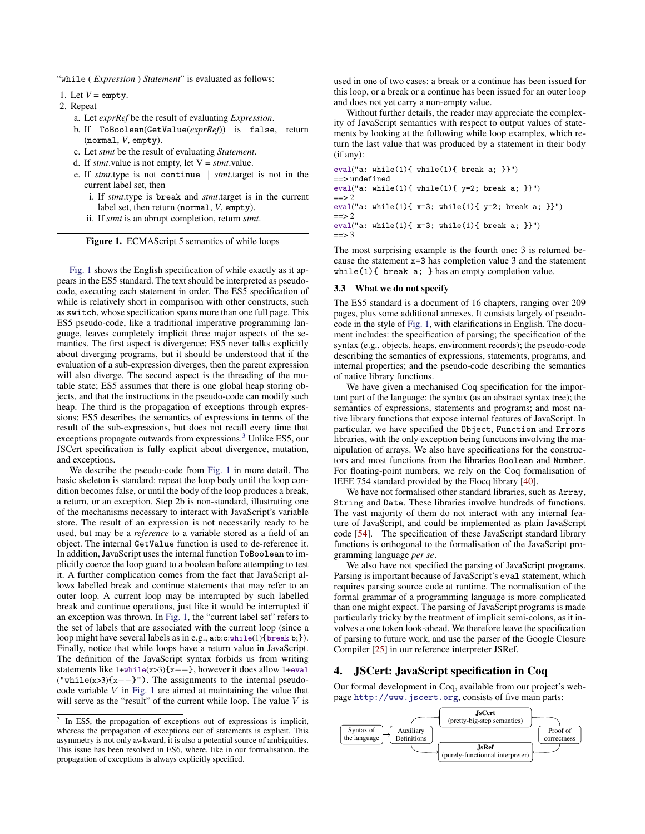"while ( *Expression* ) *Statement*" is evaluated as follows:

1. Let  $V =$  empty.

- 2. Repeat
	- a. Let *exprRef* be the result of evaluating *Expression*.
	- b. If ToBoolean(GetValue(*exprRef*)) is false, return (normal, *V*, empty).
	- c. Let *stmt* be the result of evaluating *Statement*.
	- d. If  $stmt$ *xalue* is not empty, let  $V =$   $stmt$ *xalue.*
	- e. If *stmt*.type is not continue || *stmt*.target is not in the current label set, then
		- i. If *stmt*.type is break and *stmt*.target is in the current label set, then return (normal, *V*, empty).
		- ii. If *stmt* is an abrupt completion, return *stmt*.

<span id="page-5-2"></span>Figure 1. ECMAScript 5 semantics of while loops

[Fig. 1](#page-5-2) shows the English specification of while exactly as it appears in the ES5 standard. The text should be interpreted as pseudocode, executing each statement in order. The ES5 specification of while is relatively short in comparison with other constructs, such as switch, whose specification spans more than one full page. This ES5 pseudo-code, like a traditional imperative programming language, leaves completely implicit three major aspects of the semantics. The first aspect is divergence; ES5 never talks explicitly about diverging programs, but it should be understood that if the evaluation of a sub-expression diverges, then the parent expression will also diverge. The second aspect is the threading of the mutable state; ES5 assumes that there is one global heap storing objects, and that the instructions in the pseudo-code can modify such heap. The third is the propagation of exceptions through expressions; ES5 describes the semantics of expressions in terms of the result of the sub-expressions, but does not recall every time that exceptions propagate outwards from expressions.<sup>[3](#page-5-3)</sup> Unlike ES5, our JSCert specification is fully explicit about divergence, mutation, and exceptions.

We describe the pseudo-code from [Fig. 1](#page-5-2) in more detail. The basic skeleton is standard: repeat the loop body until the loop condition becomes false, or until the body of the loop produces a break, a return, or an exception. Step 2b is non-standard, illustrating one of the mechanisms necessary to interact with JavaScript's variable store. The result of an expression is not necessarily ready to be used, but may be a *reference* to a variable stored as a field of an object. The internal GetValue function is used to de-reference it. In addition, JavaScript uses the internal function ToBoolean to implicitly coerce the loop guard to a boolean before attempting to test it. A further complication comes from the fact that JavaScript allows labelled break and continue statements that may refer to an outer loop. A current loop may be interrupted by such labelled break and continue operations, just like it would be interrupted if an exception was thrown. In [Fig. 1,](#page-5-2) the "current label set" refers to the set of labels that are associated with the current loop (since a loop might have several labels as in e.g., a:b:c:while(1){break b;}). Finally, notice that while loops have a return value in JavaScript. The definition of the JavaScript syntax forbids us from writing statements like 1+while(x>3){x−−}, however it does allow 1+eval ("while(x>3){x−−}"). The assignments to the internal pseudocode variable  $V$  in [Fig. 1](#page-5-2) are aimed at maintaining the value that will serve as the "result" of the current while loop. The value  $V$  is used in one of two cases: a break or a continue has been issued for this loop, or a break or a continue has been issued for an outer loop and does not yet carry a non-empty value.

Without further details, the reader may appreciate the complexity of JavaScript semantics with respect to output values of statements by looking at the following while loop examples, which return the last value that was produced by a statement in their body (if any):

```
eval("a: while(1){ while(1){ break a; }}")
==> undefined
eval("a: while(1){ while(1){ y=2; break a; }}")
\Rightarrow 2
eval("a: while(1){ x=3; while(1){ y=2; break a; }}")
\Rightarrow 2
eval("a: while(1){ x=3; while(1){ break a; }}")
= \geq \geq \geq
```
The most surprising example is the fourth one: 3 is returned because the statement x=3 has completion value 3 and the statement while(1){ break a; } has an empty completion value.

### <span id="page-5-1"></span>3.3 What we do not specify

The ES5 standard is a document of 16 chapters, ranging over 209 pages, plus some additional annexes. It consists largely of pseudocode in the style of [Fig. 1,](#page-5-2) with clarifications in English. The document includes: the specification of parsing; the specification of the syntax (e.g., objects, heaps, environment records); the pseudo-code describing the semantics of expressions, statements, programs, and internal properties; and the pseudo-code describing the semantics of native library functions.

We have given a mechanised Coq specification for the important part of the language: the syntax (as an abstract syntax tree); the semantics of expressions, statements and programs; and most native library functions that expose internal features of JavaScript. In particular, we have specified the Object, Function and Errors libraries, with the only exception being functions involving the manipulation of arrays. We also have specifications for the constructors and most functions from the libraries Boolean and Number. For floating-point numbers, we rely on the Coq formalisation of IEEE 754 standard provided by the Flocq library [\[40\]](#page-14-36).

We have not formalised other standard libraries, such as Array, String and Date. These libraries involve hundreds of functions. The vast majority of them do not interact with any internal feature of JavaScript, and could be implemented as plain JavaScript code [\[54\]](#page-14-37). The specification of these JavaScript standard library functions is orthogonal to the formalisation of the JavaScript programming language *per se*.

We also have not specified the parsing of JavaScript programs. Parsing is important because of JavaScript's eval statement, which requires parsing source code at runtime. The normalisation of the formal grammar of a programming language is more complicated than one might expect. The parsing of JavaScript programs is made particularly tricky by the treatment of implicit semi-colons, as it involves a one token look-ahead. We therefore leave the specification of parsing to future work, and use the parser of the Google Closure Compiler [\[25\]](#page-14-4) in our reference interpreter JSRef.

## <span id="page-5-0"></span>4. JSCert: JavaScript specification in Coq

Our formal development in Coq, available from our project's webpage <http://www.jscert.org>, consists of five main parts:



<span id="page-5-3"></span><sup>&</sup>lt;sup>3</sup> In ES5, the propagation of exceptions out of expressions is implicit, whereas the propagation of exceptions out of statements is explicit. This asymmetry is not only awkward, it is also a potential source of ambiguities. This issue has been resolved in ES6, where, like in our formalisation, the propagation of exceptions is always explicitly specified.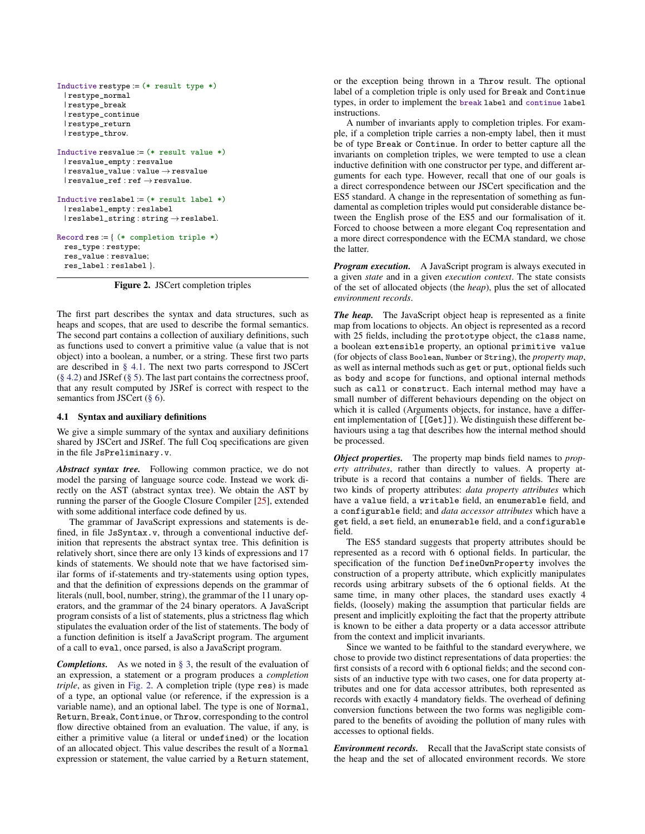```
Inductive restype := (* result type *)| restype_normal
 | restype_break
 | restype_continue
 | restype_return
 | restype_throw.
Inductive resvalue := (* \text{ result value } *)| resvalue_empty : resvalue
 | resvalue_value : value \rightarrow resvalue
 | resvalue_ref : ref \rightarrow resvalue.
Inductive reslabel := (* result label *)
 | reslabel_empty : reslabel
 \label{eq:reslabel} \verb|reslabel_string|:string}Record res := { (* completion triple *)
  res_type : restype;
  res_value : resvalue;
 res_label : reslabel }.
```
<span id="page-6-1"></span>Figure 2. JSCert completion triples

The first part describes the syntax and data structures, such as heaps and scopes, that are used to describe the formal semantics. The second part contains a collection of auxiliary definitions, such as functions used to convert a primitive value (a value that is not object) into a boolean, a number, or a string. These first two parts are described in [§ 4.1.](#page-6-0) The next two parts correspond to JSCert [\(§ 4.2\)](#page-7-0) and JSRef [\(§ 5\)](#page-9-0). The last part contains the correctness proof, that any result computed by JSRef is correct with respect to the semantics from JSCert [\(§ 6\)](#page-11-0).

## <span id="page-6-0"></span>4.1 Syntax and auxiliary definitions

We give a simple summary of the syntax and auxiliary definitions shared by JSCert and JSRef. The full Coq specifications are given in the file JsPreliminary.v.

*Abstract syntax tree.* Following common practice, we do not model the parsing of language source code. Instead we work directly on the AST (abstract syntax tree). We obtain the AST by running the parser of the Google Closure Compiler [\[25\]](#page-14-4), extended with some additional interface code defined by us.

The grammar of JavaScript expressions and statements is defined, in file JsSyntax.v, through a conventional inductive definition that represents the abstract syntax tree. This definition is relatively short, since there are only 13 kinds of expressions and 17 kinds of statements. We should note that we have factorised similar forms of if-statements and try-statements using option types, and that the definition of expressions depends on the grammar of literals (null, bool, number, string), the grammar of the 11 unary operators, and the grammar of the 24 binary operators. A JavaScript program consists of a list of statements, plus a strictness flag which stipulates the evaluation order of the list of statements. The body of a function definition is itself a JavaScript program. The argument of a call to eval, once parsed, is also a JavaScript program.

*Completions.* As we noted in [§ 3,](#page-4-3) the result of the evaluation of an expression, a statement or a program produces a *completion triple*, as given in [Fig. 2.](#page-6-1) A completion triple (type res) is made of a type, an optional value (or reference, if the expression is a variable name), and an optional label. The type is one of Normal, Return, Break, Continue, or Throw, corresponding to the control flow directive obtained from an evaluation. The value, if any, is either a primitive value (a literal or undefined) or the location of an allocated object. This value describes the result of a Normal expression or statement, the value carried by a Return statement, or the exception being thrown in a Throw result. The optional label of a completion triple is only used for Break and Continue types, in order to implement the break label and continue label instructions.

A number of invariants apply to completion triples. For example, if a completion triple carries a non-empty label, then it must be of type Break or Continue. In order to better capture all the invariants on completion triples, we were tempted to use a clean inductive definition with one constructor per type, and different arguments for each type. However, recall that one of our goals is a direct correspondence between our JSCert specification and the ES5 standard. A change in the representation of something as fundamental as completion triples would put considerable distance between the English prose of the ES5 and our formalisation of it. Forced to choose between a more elegant Coq representation and a more direct correspondence with the ECMA standard, we chose the latter.

*Program execution.* A JavaScript program is always executed in a given *state* and in a given *execution context*. The state consists of the set of allocated objects (the *heap*), plus the set of allocated *environment records*.

*The heap.* The JavaScript object heap is represented as a finite map from locations to objects. An object is represented as a record with 25 fields, including the prototype object, the class name, a boolean extensible property, an optional primitive value (for objects of class Boolean, Number or String), the *property map*, as well as internal methods such as get or put, optional fields such as body and scope for functions, and optional internal methods such as call or construct. Each internal method may have a small number of different behaviours depending on the object on which it is called (Arguments objects, for instance, have a different implementation of [[Get]]). We distinguish these different behaviours using a tag that describes how the internal method should be processed.

*Object properties.* The property map binds field names to *property attributes*, rather than directly to values. A property attribute is a record that contains a number of fields. There are two kinds of property attributes: *data property attributes* which have a value field, a writable field, an enumerable field, and a configurable field; and *data accessor attributes* which have a get field, a set field, an enumerable field, and a configurable field.

The ES5 standard suggests that property attributes should be represented as a record with 6 optional fields. In particular, the specification of the function DefineOwnProperty involves the construction of a property attribute, which explicitly manipulates records using arbitrary subsets of the 6 optional fields. At the same time, in many other places, the standard uses exactly 4 fields, (loosely) making the assumption that particular fields are present and implicitly exploiting the fact that the property attribute is known to be either a data property or a data accessor attribute from the context and implicit invariants.

Since we wanted to be faithful to the standard everywhere, we chose to provide two distinct representations of data properties: the first consists of a record with 6 optional fields; and the second consists of an inductive type with two cases, one for data property attributes and one for data accessor attributes, both represented as records with exactly 4 mandatory fields. The overhead of defining conversion functions between the two forms was negligible compared to the benefits of avoiding the pollution of many rules with accesses to optional fields.

*Environment records.* Recall that the JavaScript state consists of the heap and the set of allocated environment records. We store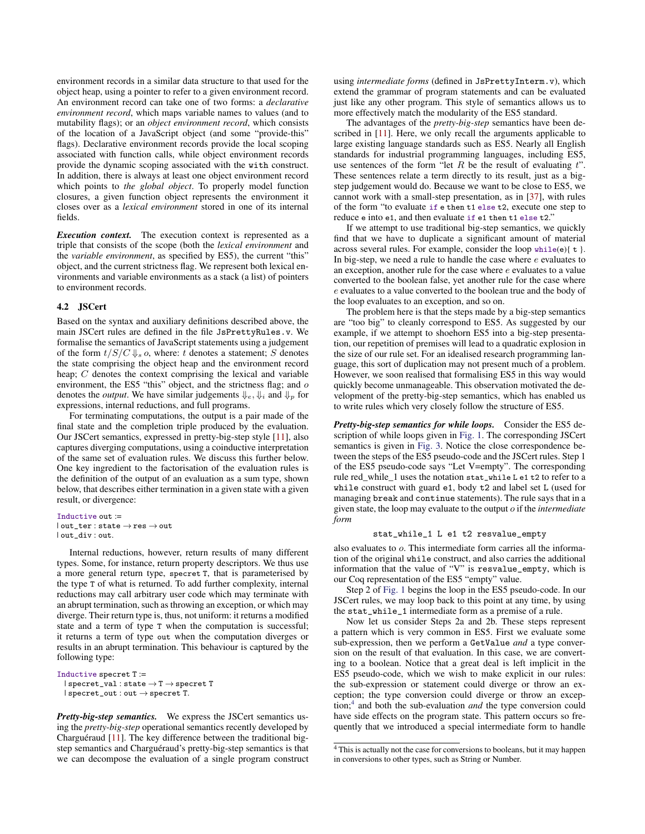environment records in a similar data structure to that used for the object heap, using a pointer to refer to a given environment record. An environment record can take one of two forms: a *declarative environment record*, which maps variable names to values (and to mutability flags); or an *object environment record*, which consists of the location of a JavaScript object (and some "provide-this" flags). Declarative environment records provide the local scoping associated with function calls, while object environment records provide the dynamic scoping associated with the with construct. In addition, there is always at least one object environment record which points to *the global object*. To properly model function closures, a given function object represents the environment it closes over as a *lexical environment* stored in one of its internal fields.

*Execution context.* The execution context is represented as a triple that consists of the scope (both the *lexical environment* and the *variable environment*, as specified by ES5), the current "this" object, and the current strictness flag. We represent both lexical environments and variable environments as a stack (a list) of pointers to environment records.

## <span id="page-7-0"></span>4.2 JSCert

Based on the syntax and auxiliary definitions described above, the main JSCert rules are defined in the file JsPrettyRules.v. We formalise the semantics of JavaScript statements using a judgement of the form  $t/S/C \Downarrow_s o$ , where: t denotes a statement; S denotes the state comprising the object heap and the environment record heap; C denotes the context comprising the lexical and variable environment, the ES5 "this" object, and the strictness flag; and  $o$ denotes the *output*. We have similar judgements  $\psi_e$ ,  $\psi_i$  and  $\psi_p$  for expressions, internal reductions, and full programs.

For terminating computations, the output is a pair made of the final state and the completion triple produced by the evaluation. Our JSCert semantics, expressed in pretty-big-step style [\[11\]](#page-13-0), also captures diverging computations, using a coinductive interpretation of the same set of evaluation rules. We discuss this further below. One key ingredient to the factorisation of the evaluation rules is the definition of the output of an evaluation as a sum type, shown below, that describes either termination in a given state with a given result, or divergence:

```
Inductive out :=
| out_ter : state \rightarrow res \rightarrow out
| out_div : out.
```
Internal reductions, however, return results of many different types. Some, for instance, return property descriptors. We thus use a more general return type, specret T, that is parameterised by the type T of what is returned. To add further complexity, internal reductions may call arbitrary user code which may terminate with an abrupt termination, such as throwing an exception, or which may diverge. Their return type is, thus, not uniform: it returns a modified state and a term of type T when the computation is successful; it returns a term of type out when the computation diverges or results in an abrupt termination. This behaviour is captured by the following type:

Inductive specret T :=  $\label{eq:1} \texttt{I spectrum:} \begin{minipage}[t]{0.9\linewidth} \begin{minipage}[t]{0.9\linewidth} \end{minipage} \begin{minipage}[t]{0.9\linewidth} \end{minipage} \begin{minipage}[t]{0.9\linewidth} \end{minipage} \begin{minipage}[t]{0.9\linewidth} \end{minipage} \begin{minipage}[t]{0.9\linewidth} \end{minipage} \begin{minipage}[t]{0.9\linewidth} \end{minipage} \begin{minipage}[t]{0.9\linewidth} \end{minipage} \begin{minipage}[t]{0.9\linewidth} \end{minipage} \begin{minipage}[t]{0.9\linewidth$  $|$  specret\_out : out  $\rightarrow$  specret T.

*Pretty-big-step semantics.* We express the JSCert semantics using the *pretty-big-step* operational semantics recently developed by Charguéraud [\[11\]](#page-13-0). The key difference between the traditional bigstep semantics and Charguéraud's pretty-big-step semantics is that we can decompose the evaluation of a single program construct using *intermediate forms* (defined in JsPrettyInterm.v), which extend the grammar of program statements and can be evaluated just like any other program. This style of semantics allows us to more effectively match the modularity of the ES5 standard.

The advantages of the *pretty-big-step* semantics have been described in [\[11\]](#page-13-0). Here, we only recall the arguments applicable to large existing language standards such as ES5. Nearly all English standards for industrial programming languages, including ES5, use sentences of the form "let  $R$  be the result of evaluating  $t$ ". These sentences relate a term directly to its result, just as a bigstep judgement would do. Because we want to be close to ES5, we cannot work with a small-step presentation, as in [\[37\]](#page-14-3), with rules of the form "to evaluate if e then t1 else t2, execute one step to reduce e into e1, and then evaluate if e1 then t1 else t2."

If we attempt to use traditional big-step semantics, we quickly find that we have to duplicate a significant amount of material across several rules. For example, consider the loop while(e) $\{ t \}$ . In big-step, we need a rule to handle the case where e evaluates to an exception, another rule for the case where e evaluates to a value converted to the boolean false, yet another rule for the case where e evaluates to a value converted to the boolean true and the body of the loop evaluates to an exception, and so on.

The problem here is that the steps made by a big-step semantics are "too big" to cleanly correspond to ES5. As suggested by our example, if we attempt to shoehorn ES5 into a big-step presentation, our repetition of premises will lead to a quadratic explosion in the size of our rule set. For an idealised research programming language, this sort of duplication may not present much of a problem. However, we soon realised that formalising ES5 in this way would quickly become unmanageable. This observation motivated the development of the pretty-big-step semantics, which has enabled us to write rules which very closely follow the structure of ES5.

*Pretty-big-step semantics for while loops.* Consider the ES5 description of while loops given in [Fig. 1.](#page-5-2) The corresponding JSCert semantics is given in [Fig. 3.](#page-8-0) Notice the close correspondence between the steps of the ES5 pseudo-code and the JSCert rules. Step 1 of the ES5 pseudo-code says "Let V=empty". The corresponding rule red\_while\_1 uses the notation stat\_while L e1 t2 to refer to a while construct with guard e1, body t2 and label set L (used for managing break and continue statements). The rule says that in a given state, the loop may evaluate to the output o if the *intermediate form*

## stat\_while\_1 L e1 t2 resvalue\_empty

also evaluates to o. This intermediate form carries all the information of the original while construct, and also carries the additional information that the value of "V" is resvalue\_empty, which is our Coq representation of the ES5 "empty" value.

Step 2 of [Fig. 1](#page-5-2) begins the loop in the ES5 pseudo-code. In our JSCert rules, we may loop back to this point at any time, by using the stat\_while\_1 intermediate form as a premise of a rule.

Now let us consider Steps 2a and 2b. These steps represent a pattern which is very common in ES5. First we evaluate some sub-expression, then we perform a GetValue *and* a type conversion on the result of that evaluation. In this case, we are converting to a boolean. Notice that a great deal is left implicit in the ES5 pseudo-code, which we wish to make explicit in our rules: the sub-expression or statement could diverge or throw an exception; the type conversion could diverge or throw an exception;[4](#page-7-1) and both the sub-evaluation *and* the type conversion could have side effects on the program state. This pattern occurs so frequently that we introduced a special intermediate form to handle

<span id="page-7-1"></span><sup>4</sup> This is actually not the case for conversions to booleans, but it may happen in conversions to other types, such as String or Number.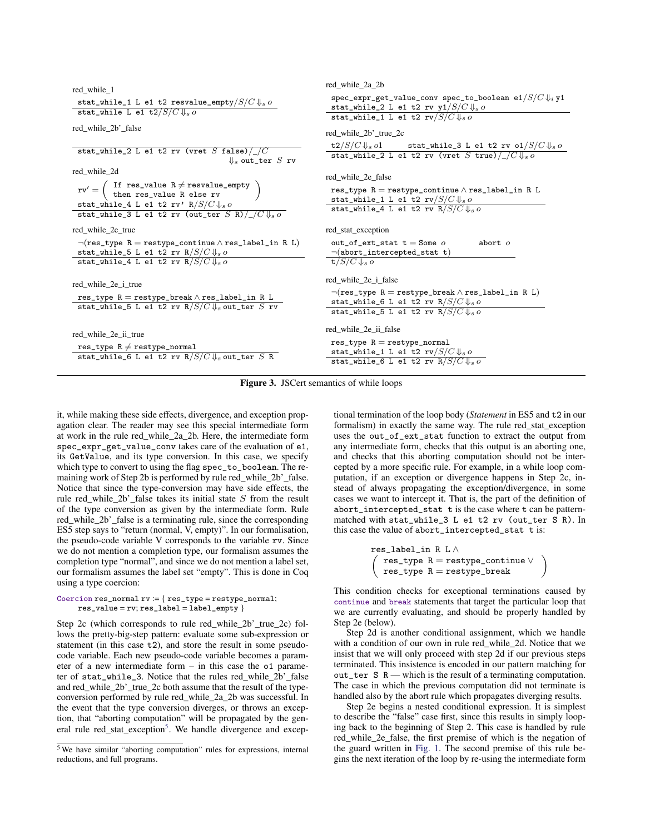| red while 1                                                                                                                                                                                                                                                                        | red_while_2a_2b                                                                                                                                                                            |  |
|------------------------------------------------------------------------------------------------------------------------------------------------------------------------------------------------------------------------------------------------------------------------------------|--------------------------------------------------------------------------------------------------------------------------------------------------------------------------------------------|--|
| stat_while_1 L e1 t2 resvalue_empty/ $S/C \Downarrow_s o$<br>stat_while L e1 t2/ $S/C \Downarrow_s o$                                                                                                                                                                              | ${\tt spec\_expr\_get\_value\_conv\_spec\_to\_boolean\_e1}/S/C \Downarrow_i {\tt y1}$<br>stat_while_2 L e1 t2 rv y1/ $S/C \Downarrow_s o$<br>stat_while_1 L e1 t2 $rv/S/C \Downarrow_s o$  |  |
| red_while_2b'_false                                                                                                                                                                                                                                                                | red while 2b' true 2c                                                                                                                                                                      |  |
| stat_while_2 L e1 t2 rv (vret S false)/_/C<br>$\downarrow$ s out_ter S rv                                                                                                                                                                                                          | $t2/S/C \Downarrow_s o1$ stat_while_3 L e1 t2 rv o1/ $S/C \Downarrow_s o$<br>stat_while_2 L e1 t2 rv (vret S true)/ $/C \Downarrow_{s} o$                                                  |  |
| red_while_2d<br>$rv' = \begin{pmatrix} \text{If } \text{res\_value } R \neq \text{result} \\ \text{then } \text{res\_value } R \text{ else } rv \end{pmatrix}$<br>stat_while_4 L e1 t2 rv' R/ $S/C \Downarrow_s o$<br>stat_while_3 L e1 t2 rv (out_ter S R) /_/ $C \Downarrow_s o$ | red_while_2e_false<br>res_type $R =$ restype_continue $\wedge$ res_label_in R L<br>stat_while_1 L e1 t2 rv/ $S/C \Downarrow_s o$<br>stat_while_4 L e1 t2 rv R/ $S/C \Downarrow_s o$        |  |
| red_while_2e_true<br>$\neg$ (res_type R = restype_continue $\land$ res_label_in R L)<br>stat_while_5 L e1 t2 rv R/ $S/C \Downarrow_s o$<br>stat_while_4 L e1 t2 rv R/ $S/C \Downarrow_s o$                                                                                         | red_stat_exception<br>out_of_ext_stat $t = Some$ o<br>abort $o$<br>$\neg(abort_intercepted_stat_t)$<br>$t/S/C\Downarrow_{s}o$                                                              |  |
| red_while_2e_i_true<br>res_type $R =$ restype_break $\wedge$ res_label_in R L<br>stat_while_5 L e1 t2 rv R/ $S/C \Downarrow_s$ out_ter S rv                                                                                                                                        | red_while_2e_i_false<br>$\neg$ (res_type R = restype_break $\land$ res_label_in R L)<br>stat_while_6 L e1 t2 rv R/ $S/C \Downarrow_s o$<br>stat_while_5 L e1 t2 rv R/ $S/C \Downarrow_s o$ |  |
| red_while_2e_ii_true<br>res_type $R \neq$ restype_normal<br>stat_while_6 L e1 t2 rv R/ $S/C \Downarrow_S$ out_ter S R                                                                                                                                                              | red_while_2e_ii_false<br>$res_type R = restype\_normal$<br>stat_while_1 L e1 t2 $rv/S/C \Downarrow_s o$<br>stat_while_6 L e1 t2 rv R/ $S/C \Downarrow_s o$                                 |  |

<span id="page-8-0"></span>Figure 3. JSCert semantics of while loops

it, while making these side effects, divergence, and exception propagation clear. The reader may see this special intermediate form at work in the rule red\_while\_2a\_2b. Here, the intermediate form spec\_expr\_get\_value\_conv takes care of the evaluation of e1, its GetValue, and its type conversion. In this case, we specify which type to convert to using the flag spec\_to\_boolean. The remaining work of Step 2b is performed by rule red\_while\_2b'\_false. Notice that since the type-conversion may have side effects, the rule red\_while\_2b'\_false takes its initial state S from the result of the type conversion as given by the intermediate form. Rule red\_while\_2b'\_false is a terminating rule, since the corresponding ES5 step says to "return (normal, V, empty)". In our formalisation, the pseudo-code variable V corresponds to the variable rv. Since we do not mention a completion type, our formalism assumes the completion type "normal", and since we do not mention a label set, our formalism assumes the label set "empty". This is done in Coq using a type coercion:

Coercion res\_normal  $rv := \{ res\_type = respectively$  normal;  $res_value = rv; res_labels = label-empty$  }

Step 2c (which corresponds to rule red\_while\_2b'\_true\_2c) follows the pretty-big-step pattern: evaluate some sub-expression or statement (in this case t2), and store the result in some pseudocode variable. Each new pseudo-code variable becomes a parameter of a new intermediate form  $-$  in this case the  $o1$  parameter of stat\_while\_3. Notice that the rules red\_while\_2b'\_false and red\_while\_2b'\_true\_2c both assume that the result of the typeconversion performed by rule red\_while\_2a\_2b was successful. In the event that the type conversion diverges, or throws an exception, that "aborting computation" will be propagated by the gen-eral rule red\_stat\_exception<sup>[5](#page-8-1)</sup>. We handle divergence and exceptional termination of the loop body (*Statement* in ES5 and t2 in our formalism) in exactly the same way. The rule red\_stat\_exception uses the out\_of\_ext\_stat function to extract the output from any intermediate form, checks that this output is an aborting one, and checks that this aborting computation should not be intercepted by a more specific rule. For example, in a while loop computation, if an exception or divergence happens in Step 2c, instead of always propagating the exception/divergence, in some cases we want to intercept it. That is, the part of the definition of abort\_intercepted\_stat t is the case where t can be patternmatched with stat\_while\_3 L e1 t2 rv (out\_ter S R). In this case the value of abort\_intercepted\_stat t is:

```
res_label_in R L
∧
\left( \begin{array}{c} \texttt{res\_type} \ \texttt{R} = \texttt{restype\_continue} \vee \\ \texttt{res\_type} \ \texttt{R} = \texttt{restype\_break} \end{array} \right)
```
This condition checks for exceptional terminations caused by continue and break statements that target the particular loop that we are currently evaluating, and should be properly handled by Step 2e (below).

Step 2d is another conditional assignment, which we handle with a condition of our own in rule red\_while\_2d. Notice that we insist that we will only proceed with step 2d if our previous steps terminated. This insistence is encoded in our pattern matching for out\_ter  $S$  R — which is the result of a terminating computation. The case in which the previous computation did not terminate is handled also by the abort rule which propagates diverging results.

Step 2e begins a nested conditional expression. It is simplest to describe the "false" case first, since this results in simply looping back to the beginning of Step 2. This case is handled by rule red\_while\_2e\_false, the first premise of which is the negation of the guard written in [Fig. 1.](#page-5-2) The second premise of this rule begins the next iteration of the loop by re-using the intermediate form

<span id="page-8-1"></span><sup>5</sup> We have similar "aborting computation" rules for expressions, internal reductions, and full programs.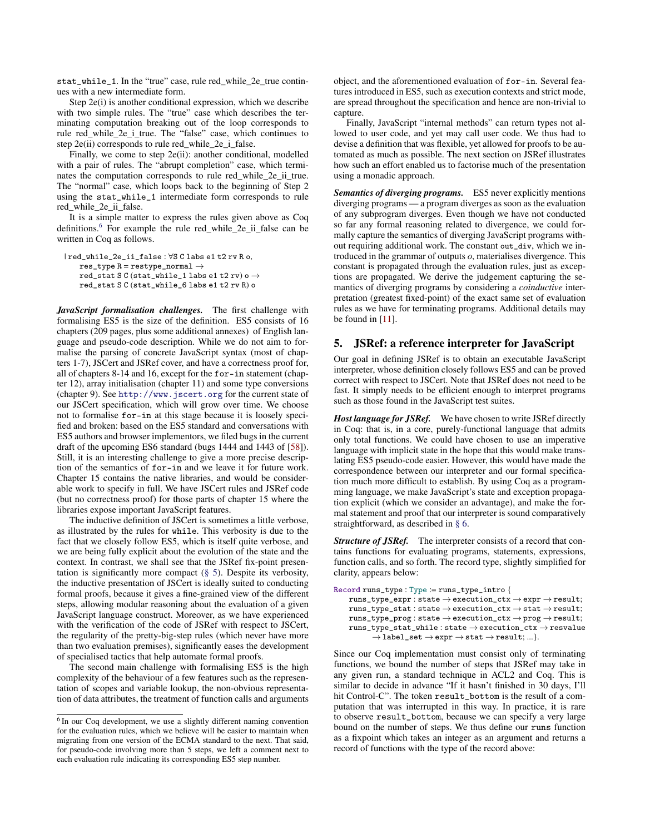stat\_while\_1. In the "true" case, rule red\_while\_2e\_true continues with a new intermediate form.

Step 2e(i) is another conditional expression, which we describe with two simple rules. The "true" case which describes the terminating computation breaking out of the loop corresponds to rule red\_while\_2e\_i\_true. The "false" case, which continues to step 2e(ii) corresponds to rule red\_while\_2e\_i\_false.

Finally, we come to step 2e(ii): another conditional, modelled with a pair of rules. The "abrupt completion" case, which terminates the computation corresponds to rule red\_while\_2e\_ii\_true. The "normal" case, which loops back to the beginning of Step 2 using the stat\_while\_1 intermediate form corresponds to rule red\_while\_2e\_ii\_false.

It is a simple matter to express the rules given above as Coq definitions.<sup>[6](#page-9-1)</sup> For example the rule red\_while\_2e\_ii\_false can be written in Coq as follows.

```
| red_while_2e_ii_false : ∀S C labs e1 t2 rv R o,
    res\_type R = restype\_normal \rightarrowred_stat S C (stat_while_1 labs e1 t2 rv) o \rightarrowred_stat S C (stat_while_6 labs e1 t2 rv R) o
```
*JavaScript formalisation challenges.* The first challenge with formalising ES5 is the size of the definition. ES5 consists of 16 chapters (209 pages, plus some additional annexes) of English language and pseudo-code description. While we do not aim to formalise the parsing of concrete JavaScript syntax (most of chapters 1-7), JSCert and JSRef cover, and have a correctness proof for, all of chapters 8-14 and 16, except for the for-in statement (chapter 12), array initialisation (chapter 11) and some type conversions (chapter 9). See <http://www.jscert.org> for the current state of our JSCert specification, which will grow over time. We choose not to formalise for-in at this stage because it is loosely specified and broken: based on the ES5 standard and conversations with ES5 authors and browser implementors, we filed bugs in the current draft of the upcoming ES6 standard (bugs 1444 and 1443 of [\[58\]](#page-14-0)). Still, it is an interesting challenge to give a more precise description of the semantics of for-in and we leave it for future work. Chapter 15 contains the native libraries, and would be considerable work to specify in full. We have JSCert rules and JSRef code (but no correctness proof) for those parts of chapter 15 where the libraries expose important JavaScript features.

The inductive definition of JSCert is sometimes a little verbose, as illustrated by the rules for while. This verbosity is due to the fact that we closely follow ES5, which is itself quite verbose, and we are being fully explicit about the evolution of the state and the context. In contrast, we shall see that the JSRef fix-point presentation is significantly more compact [\(§ 5\)](#page-9-0). Despite its verbosity, the inductive presentation of JSCert is ideally suited to conducting formal proofs, because it gives a fine-grained view of the different steps, allowing modular reasoning about the evaluation of a given JavaScript language construct. Moreover, as we have experienced with the verification of the code of JSRef with respect to JSCert, the regularity of the pretty-big-step rules (which never have more than two evaluation premises), significantly eases the development of specialised tactics that help automate formal proofs.

The second main challenge with formalising ES5 is the high complexity of the behaviour of a few features such as the representation of scopes and variable lookup, the non-obvious representation of data attributes, the treatment of function calls and arguments object, and the aforementioned evaluation of for-in. Several features introduced in ES5, such as execution contexts and strict mode, are spread throughout the specification and hence are non-trivial to capture.

Finally, JavaScript "internal methods" can return types not allowed to user code, and yet may call user code. We thus had to devise a definition that was flexible, yet allowed for proofs to be automated as much as possible. The next section on JSRef illustrates how such an effort enabled us to factorise much of the presentation using a monadic approach.

*Semantics of diverging programs.* ES5 never explicitly mentions diverging programs — a program diverges as soon as the evaluation of any subprogram diverges. Even though we have not conducted so far any formal reasoning related to divergence, we could formally capture the semantics of diverging JavaScript programs without requiring additional work. The constant out\_div, which we introduced in the grammar of outputs o, materialises divergence. This constant is propagated through the evaluation rules, just as exceptions are propagated. We derive the judgement capturing the semantics of diverging programs by considering a *coinductive* interpretation (greatest fixed-point) of the exact same set of evaluation rules as we have for terminating programs. Additional details may be found in [\[11\]](#page-13-0).

## <span id="page-9-0"></span>5. JSRef: a reference interpreter for JavaScript

Our goal in defining JSRef is to obtain an executable JavaScript interpreter, whose definition closely follows ES5 and can be proved correct with respect to JSCert. Note that JSRef does not need to be fast. It simply needs to be efficient enough to interpret programs such as those found in the JavaScript test suites.

*Host language for JSRef.* We have chosen to write JSRef directly in Coq: that is, in a core, purely-functional language that admits only total functions. We could have chosen to use an imperative language with implicit state in the hope that this would make translating ES5 pseudo-code easier. However, this would have made the correspondence between our interpreter and our formal specification much more difficult to establish. By using Coq as a programming language, we make JavaScript's state and exception propagation explicit (which we consider an advantage), and make the formal statement and proof that our interpreter is sound comparatively straightforward, as described in [§ 6.](#page-11-0)

*Structure of JSRef.* The interpreter consists of a record that contains functions for evaluating programs, statements, expressions, function calls, and so forth. The record type, slightly simplified for clarity, appears below:

Record runs\_type : Type := runs\_type\_intro {

```
runs\_type\_expr: state \rightarrow execution\_ctx \rightarrow expr \rightarrow result;runs\_type\_stat: state \rightarrow execution\_ctx \rightarrow stat \rightarrow result;\texttt{runs\_type\_prog}: \texttt{state} \rightarrow \texttt{execution\_ctx} \rightarrow \texttt{prog} \rightarrow \texttt{result};\verb|runs_type_stat_while|: \verb|state \rightarrow \verb|execution_ctx \rightarrow \verb|result|\rightarrow \mathtt{label\_set} \rightarrow \mathtt{expr} \rightarrow \mathtt{stat} \rightarrow \mathtt{result}; \ldots \}.
```
Since our Coq implementation must consist only of terminating functions, we bound the number of steps that JSRef may take in any given run, a standard technique in ACL2 and Coq. This is similar to decide in advance "If it hasn't finished in 30 days, I'll hit Control-C". The token result\_bottom is the result of a computation that was interrupted in this way. In practice, it is rare to observe result\_bottom, because we can specify a very large bound on the number of steps. We thus define our runs function as a fixpoint which takes an integer as an argument and returns a record of functions with the type of the record above:

<span id="page-9-1"></span><sup>&</sup>lt;sup>6</sup> In our Coq development, we use a slightly different naming convention for the evaluation rules, which we believe will be easier to maintain when migrating from one version of the ECMA standard to the next. That said, for pseudo-code involving more than 5 steps, we left a comment next to each evaluation rule indicating its corresponding ES5 step number.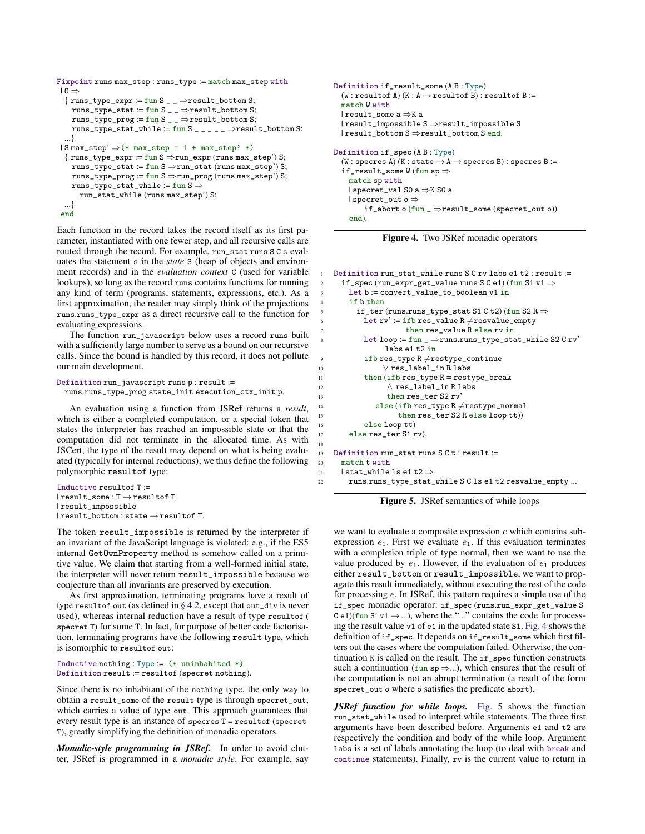```
Fixpoint runs max_step : runs_type := match max_step with
| 0 \Rightarrow\{ \; runs\_type\_expr := fun \; S \; \underline{\ } \; \Rightarrow \texttt{result\_bottom} \; S;runs_type_stat := fun S _ _ \Rightarrow result_bottom S;
    runs_type_prog := fun S _ _ \Rightarrow result_bottom S;
    runs_type_stat_while := fun S _ _ _ _ _ \Rightarrow result_bottom S;
  ...}
 | S max_step' \Rightarrow (* max_step = 1 + max_step' *)
  { runs\_type\_expr := fun S \Rightarrow run\_expr (runs max\_step') S;runs_type_stat := fun S \Rightarrow run_stat (runs max_step') S;
    runs_type_prog := fun S \Rightarrow run\_prog (runs max_step') S;
    runs_type_stat_while := fun S \Rightarrowrun_stat_while (runs max_step') S;
  ...}
 end.
```
Each function in the record takes the record itself as its first parameter, instantiated with one fewer step, and all recursive calls are routed through the record. For example, run\_stat runs S C s evaluates the statement s in the *state* S (heap of objects and environment records) and in the *evaluation context* C (used for variable lookups), so long as the record runs contains functions for running any kind of term (programs, statements, expressions, etc.). As a first approximation, the reader may simply think of the projections runs.runs\_type\_expr as a direct recursive call to the function for evaluating expressions.

The function run\_javascript below uses a record runs built with a sufficiently large number to serve as a bound on our recursive calls. Since the bound is handled by this record, it does not pollute our main development.

```
Definition run_javascript runs p : result :=
 runs.runs_type_prog state_init execution_ctx_init p.
```
An evaluation using a function from JSRef returns a *result*, which is either a completed computation, or a special token that states the interpreter has reached an impossible state or that the computation did not terminate in the allocated time. As with JSCert, the type of the result may depend on what is being evaluated (typically for internal reductions); we thus define the following polymorphic resultof type:

<span id="page-10-7"></span><span id="page-10-6"></span><span id="page-10-5"></span><span id="page-10-2"></span>18

```
Inductive result of T :=| result_some : \texttt{T}\rightarrow \texttt{resultof}<br>\texttt{T}| result_impossible
\label{eq:resub} \verb|result_bottom|: state \rightarrow \verb|resultof T|.
```
The token result\_impossible is returned by the interpreter if an invariant of the JavaScript language is violated: e.g., if the ES5 internal GetOwnProperty method is somehow called on a primitive value. We claim that starting from a well-formed initial state, the interpreter will never return result\_impossible because we conjecture than all invariants are preserved by execution.

As first approximation, terminating programs have a result of type resultof out (as defined in [§ 4.2,](#page-7-0) except that out\_div is never used), whereas internal reduction have a result of type resultof ( specret T) for some T. In fact, for purpose of better code factorisation, terminating programs have the following result type, which is isomorphic to resultof out:

```
Inductive nothing : Type :=. (* uninhabited *)
Definition result := resultof (specret nothing).
```
Since there is no inhabitant of the nothing type, the only way to obtain a result\_some of the result type is through specret\_out, which carries a value of type out. This approach guarantees that every result type is an instance of specres T = resultof (specret T), greatly simplifying the definition of monadic operators.

*Monadic-style programming in JSRef.* In order to avoid clutter, JSRef is programmed in a *monadic style*. For example, say Definition if\_result\_some (A B : Type)  $(W : result of A) (K : A \rightarrow result of B) : result of B :=$ match W with | result\_some a ⇒K a | result\_impossible S ⇒result\_impossible S | result\_bottom S ⇒result\_bottom S end. Definition if\_spec (A B : Type)  $(W :$  specres A)  $(K :$  state  $\rightarrow A \rightarrow$  specres B) : specres B := if\_result\_some W (fun sp  $\Rightarrow$ match sp with | specret\_val S0 a ⇒K S0 a | specret\_out o ⇒  $\verb|if_abort|$ o (fun $\verb|_\Rightarrowresult\_some$  (specret\_out o)) end).

<span id="page-10-0"></span>Figure 4. Two JSRef monadic operators

```
Definition run_stat_while runs S C rv labs e1 t2 : result :=
      \mathtt{if\_spec}\ (\mathtt{run\_expr\_get\_value}\ \mathtt{runs}\ \mathtt{S}\ \mathtt{C}\ \mathtt{e1})\ (\mathtt{fun}\ \mathtt{S1}\ \mathtt{v1} \RightarrowLet b := convert_value_to_boolean v1 in
        if b then
          if_ter (runs.runs_type_stat S1 C t2) (fun S2 R \RightarrowLet rv' := ifb res_value R \neqresvalue_empty
                       then res_value R else rv in
            Let loop := fun _ \Rightarrow runs.runs_type_stat_while S2 C rv'
                 labs e1 t2 in
            ifb res_type R \neqrestype_continue
10 ∨ res_label_in R labs
11 then (ifb res_type R = restype_break
12 ∧ res_label_in R labs
13 then res_ter S2 rv'
14 else (ifb res_type R \neqrestype_normal
15 then res_ter S2 R else loop tt))
            else loop tt)
17 else res_ter S1 rv).
19 Definition run_stat runs S C t : result :=
20 match t with
21 | stat_while ls e1 t2 \Rightarrow22 runs.runs_type_stat_while S C ls e1 t2 resvalue_empty ...
```
<span id="page-10-1"></span>Figure 5. JSRef semantics of while loops

we want to evaluate a composite expression e which contains subexpression  $e_1$ . First we evaluate  $e_1$ . If this evaluation terminates with a completion triple of type normal, then we want to use the value produced by  $e_1$ . However, if the evaluation of  $e_1$  produces either result\_bottom or result\_impossible, we want to propagate this result immediately, without executing the rest of the code for processing e. In JSRef, this pattern requires a simple use of the if\_spec monadic operator: if\_spec (runs.run\_expr\_get\_value S C e1)(fun S' v1  $\rightarrow$  ...), where the "..." contains the code for processing the result value v1 of e1 in the updated state S1. [Fig. 4](#page-10-0) shows the definition of if\_spec. It depends on if\_result\_some which first filters out the cases where the computation failed. Otherwise, the continuation K is called on the result. The if\_spec function constructs such a continuation ( $fun sp \Rightarrow ...$ ), which ensures that the result of the computation is not an abrupt termination (a result of the form specret\_out o where o satisfies the predicate abort).

*JSRef function for while loops.* [Fig. 5](#page-10-1) shows the function run\_stat\_while used to interpret while statements. The three first arguments have been described before. Arguments e1 and t2 are respectively the condition and body of the while loop. Argument labs is a set of labels annotating the loop (to deal with break and continue statements). Finally, rv is the current value to return in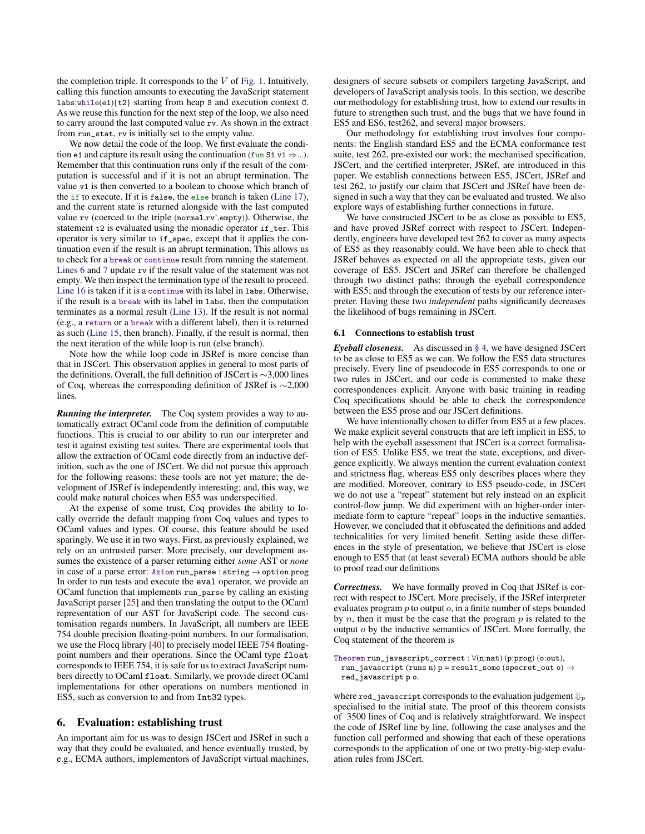the completion triple. It corresponds to the  $V$  of [Fig. 1.](#page-5-2) Intuitively, calling this function amounts to executing the JavaScript statement labs:while(e1){t2} starting from heap S and execution context C. As we reuse this function for the next step of the loop, we also need to carry around the last computed value rv. As shown in the extract from run\_stat, rv is initially set to the empty value.

We now detail the code of the loop. We first evaluate the condition e1 and capture its result using the continuation ( $f$ un S1 v1  $\Rightarrow$ ...). Remember that this continuation runs only if the result of the computation is successful and if it is not an abrupt termination. The value v1 is then converted to a boolean to choose which branch of the if to execute. If it is false, the else branch is taken [\(Line 17\)](#page-10-2), and the current state is returned alongside with the last computed value rv (coerced to the triple (normal,rv',empty)). Otherwise, the statement t2 is evaluated using the monadic operator if\_ter. This operator is very similar to if\_spec, except that it applies the continuation even if the result is an abrupt termination. This allows us to check for a break or continue result from running the statement. [Lines 6](#page-10-3) and [7](#page-10-4) update rv if the result value of the statement was not empty. We then inspect the termination type of the result to proceed. [Line 16](#page-10-5) is taken if it is a continue with its label in labs. Otherwise, if the result is a break with its label in labs, then the computation terminates as a normal result [\(Line 13\)](#page-10-6). If the result is not normal (e.g., a return or a break with a different label), then it is returned as such [\(Line 15,](#page-10-7) then branch). Finally, if the result is normal, then the next iteration of the while loop is run (else branch).

Note how the while loop code in JSRef is more concise than that in JSCert. This observation applies in general to most parts of the definitions. Overall, the full definition of JSCert is ∼3,000 lines of Coq, whereas the corresponding definition of JSRef is ∼2,000 lines.

*Running the interpreter.* The Coq system provides a way to automatically extract OCaml code from the definition of computable functions. This is crucial to our ability to run our interpreter and test it against existing test suites. There are experimental tools that allow the extraction of OCaml code directly from an inductive definition, such as the one of JSCert. We did not pursue this approach for the following reasons: these tools are not yet mature; the development of JSRef is independently interesting; and, this way, we could make natural choices when ES5 was underspecified.

At the expense of some trust, Coq provides the ability to locally override the default mapping from Coq values and types to OCaml values and types. Of course, this feature should be used sparingly. We use it in two ways. First, as previously explained, we rely on an untrusted parser. More precisely, our development assumes the existence of a parser returning either *some* AST or *none* in case of a parse error: Axiom run\_parse : string → option prog In order to run tests and execute the eval operator, we provide an OCaml function that implements run\_parse by calling an existing JavaScript parser [\[25\]](#page-14-4) and then translating the output to the OCaml representation of our AST for JavaScript code. The second customisation regards numbers. In JavaScript, all numbers are IEEE 754 double precision floating-point numbers. In our formalisation, we use the Flocq library [\[40\]](#page-14-36) to precisely model IEEE 754 floatingpoint numbers and their operations. Since the OCaml type float corresponds to IEEE 754, it is safe for us to extract JavaScript numbers directly to OCaml float. Similarly, we provide direct OCaml implementations for other operations on numbers mentioned in ES5, such as conversion to and from Int32 types.

## <span id="page-11-0"></span>6. Evaluation: establishing trust

An important aim for us was to design JSCert and JSRef in such a way that they could be evaluated, and hence eventually trusted, by e.g., ECMA authors, implementors of JavaScript virtual machines, designers of secure subsets or compilers targeting JavaScript, and developers of JavaScript analysis tools. In this section, we describe our methodology for establishing trust, how to extend our results in future to strengthen such trust, and the bugs that we have found in ES5 and ES6, test262, and several major browsers.

Our methodology for establishing trust involves four components: the English standard ES5 and the ECMA conformance test suite, test 262, pre-existed our work; the mechanised specification, JSCert, and the certified interpreter, JSRef, are introduced in this paper. We establish connections between ES5, JSCert, JSRef and test 262, to justify our claim that JSCert and JSRef have been designed in such a way that they can be evaluated and trusted. We also explore ways of establishing further connections in future.

We have constructed JSCert to be as close as possible to ES5, and have proved JSRef correct with respect to JSCert. Independently, engineers have developed test 262 to cover as many aspects of ES5 as they reasonably could. We have been able to check that JSRef behaves as expected on all the appropriate tests, given our coverage of ES5. JSCert and JSRef can therefore be challenged through two distinct paths: through the eyeball correspondence with ES5; and through the execution of tests by our reference interpreter. Having these two *independent* paths significantly decreases the likelihood of bugs remaining in JSCert.

## 6.1 Connections to establish trust

*Eyeball closeness.* As discussed in [§ 4,](#page-5-0) we have designed JSCert to be as close to ES5 as we can. We follow the ES5 data structures precisely. Every line of pseudocode in ES5 corresponds to one or two rules in JSCert, and our code is commented to make these correspondences explicit. Anyone with basic training in reading Coq specifications should be able to check the correspondence between the ES5 prose and our JSCert definitions.

We have intentionally chosen to differ from ES5 at a few places. We make explicit several constructs that are left implicit in ES5, to help with the eyeball assessment that JSCert is a correct formalisation of ES5. Unlike ES5, we treat the state, exceptions, and divergence explicitly. We always mention the current evaluation context and strictness flag, whereas ES5 only describes places where they are modified. Moreover, contrary to ES5 pseudo-code, in JSCert we do not use a "repeat" statement but rely instead on an explicit control-flow jump. We did experiment with an higher-order intermediate form to capture "repeat" loops in the inductive semantics. However, we concluded that it obfuscated the definitions and added technicalities for very limited benefit. Setting aside these differences in the style of presentation, we believe that JSCert is close enough to ES5 that (at least several) ECMA authors should be able to proof read our definitions

*Correctness.* We have formally proved in Coq that JSRef is correct with respect to JSCert. More precisely, if the JSRef interpreter evaluates program  $p$  to output  $o$ , in a finite number of steps bounded by  $n$ , then it must be the case that the program  $p$  is related to the output o by the inductive semantics of JSCert. More formally, the Coq statement of the theorem is

Theorem run\_javascript\_correct : ∀(n:nat) (p:prog) (o:out), run\_javascript (runs n) p = result\_some (specret\_out o)  $\rightarrow$ red\_javascript p o.

where red\_javascript corresponds to the evaluation judgement  $\psi_p$ specialised to the initial state. The proof of this theorem consists of 3500 lines of Coq and is relatively straightforward. We inspect the code of JSRef line by line, following the case analyses and the function call performed and showing that each of these operations corresponds to the application of one or two pretty-big-step evaluation rules from JSCert.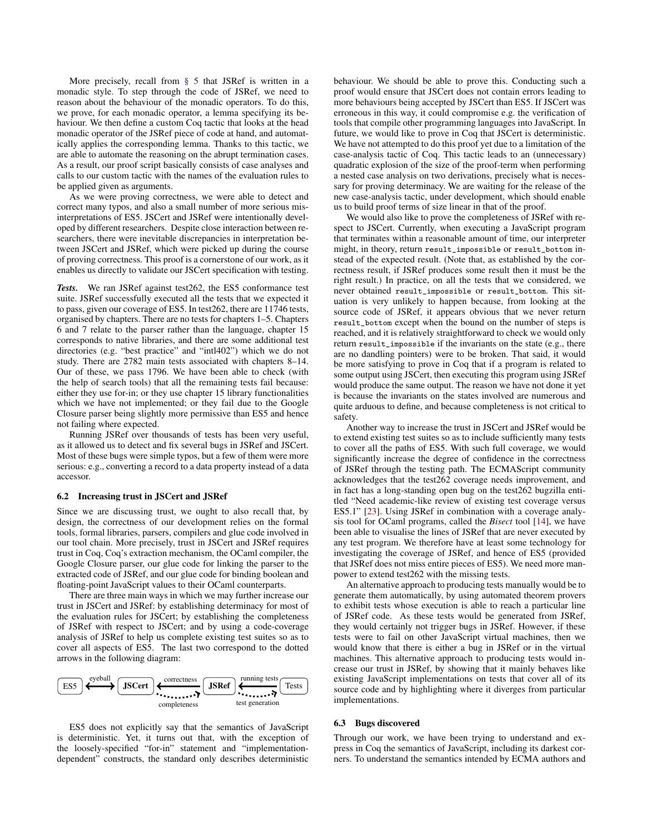More precisely, recall from [§ 5](#page-9-0) that JSRef is written in a monadic style. To step through the code of JSRef, we need to reason about the behaviour of the monadic operators. To do this, we prove, for each monadic operator, a lemma specifying its behaviour. We then define a custom Coq tactic that looks at the head monadic operator of the JSRef piece of code at hand, and automatically applies the corresponding lemma. Thanks to this tactic, we are able to automate the reasoning on the abrupt termination cases. As a result, our proof script basically consists of case analyses and calls to our custom tactic with the names of the evaluation rules to be applied given as arguments.

As we were proving correctness, we were able to detect and correct many typos, and also a small number of more serious misinterpretations of ES5. JSCert and JSRef were intentionally developed by different researchers. Despite close interaction between researchers, there were inevitable discrepancies in interpretation between JSCert and JSRef, which were picked up during the course of proving correctness. This proof is a cornerstone of our work, as it enables us directly to validate our JSCert specification with testing.

*Tests.* We ran JSRef against test262, the ES5 conformance test suite. JSRef successfully executed all the tests that we expected it to pass, given our coverage of ES5. In test262, there are 11746 tests, organised by chapters. There are no tests for chapters 1–5. Chapters 6 and 7 relate to the parser rather than the language, chapter 15 corresponds to native libraries, and there are some additional test directories (e.g. "best practice" and "intl402") which we do not study. There are 2782 main tests associated with chapters 8–14. Our of these, we pass 1796. We have been able to check (with the help of search tools) that all the remaining tests fail because: either they use for-in; or they use chapter 15 library functionalities which we have not implemented; or they fail due to the Google Closure parser being slightly more permissive than ES5 and hence not failing where expected.

Running JSRef over thousands of tests has been very useful, as it allowed us to detect and fix several bugs in JSRef and JSCert. Most of these bugs were simple typos, but a few of them were more serious: e.g., converting a record to a data property instead of a data accessor.

## 6.2 Increasing trust in JSCert and JSRef

Since we are discussing trust, we ought to also recall that, by design, the correctness of our development relies on the formal tools, formal libraries, parsers, compilers and glue code involved in our tool chain. More precisely, trust in JSCert and JSRef requires trust in Coq, Coq's extraction mechanism, the OCaml compiler, the Google Closure parser, our glue code for linking the parser to the extracted code of JSRef, and our glue code for binding boolean and floating-point JavaScript values to their OCaml counterparts.

There are three main ways in which we may further increase our trust in JSCert and JSRef: by establishing determinacy for most of the evaluation rules for JSCert; by establishing the completeness of JSRef with respect to JSCert; and by using a code-coverage analysis of JSRef to help us complete existing test suites so as to cover all aspects of ES5. The last two correspond to the dotted arrows in the following diagram:

| eveball<br><b>JSCert</b> | correctness               | running tests<br><b>JSRef</b><br><b>Tests</b> |
|--------------------------|---------------------------|-----------------------------------------------|
|                          | <b><i>CONTRACTORY</i></b> | . 7                                           |
|                          | completeness              | test generation                               |

ES5 does not explicitly say that the semantics of JavaScript is deterministic. Yet, it turns out that, with the exception of the loosely-specified "for-in" statement and "implementationdependent" constructs, the standard only describes deterministic behaviour. We should be able to prove this. Conducting such a proof would ensure that JSCert does not contain errors leading to more behaviours being accepted by JSCert than ES5. If JSCert was erroneous in this way, it could compromise e.g. the verification of tools that compile other programming languages into JavaScript. In future, we would like to prove in Coq that JSCert is deterministic. We have not attempted to do this proof yet due to a limitation of the case-analysis tactic of Coq. This tactic leads to an (unnecessary) quadratic explosion of the size of the proof-term when performing a nested case analysis on two derivations, precisely what is necessary for proving determinacy. We are waiting for the release of the new case-analysis tactic, under development, which should enable us to build proof terms of size linear in that of the proof.

We would also like to prove the completeness of JSRef with respect to JSCert. Currently, when executing a JavaScript program that terminates within a reasonable amount of time, our interpreter might, in theory, return result\_impossible or result\_bottom instead of the expected result. (Note that, as established by the correctness result, if JSRef produces some result then it must be the right result.) In practice, on all the tests that we considered, we never obtained result\_impossible or result\_bottom. This situation is very unlikely to happen because, from looking at the source code of JSRef, it appears obvious that we never return result\_bottom except when the bound on the number of steps is reached, and it is relatively straightforward to check we would only return result\_impossible if the invariants on the state (e.g., there are no dandling pointers) were to be broken. That said, it would be more satisfying to prove in Coq that if a program is related to some output using JSCert, then executing this program using JSRef would produce the same output. The reason we have not done it yet is because the invariants on the states involved are numerous and quite arduous to define, and because completeness is not critical to safety.

Another way to increase the trust in JSCert and JSRef would be to extend existing test suites so as to include sufficiently many tests to cover all the paths of ES5. With such full coverage, we would significantly increase the degree of confidence in the correctness of JSRef through the testing path. The ECMAScript community acknowledges that the test262 coverage needs improvement, and in fact has a long-standing open bug on the test262 bugzilla entitled "Need academic-like review of existing test coverage versus ES5.1" [\[23\]](#page-14-38). Using JSRef in combination with a coverage analysis tool for OCaml programs, called the *Bisect* tool [\[14\]](#page-13-3), we have been able to visualise the lines of JSRef that are never executed by any test program. We therefore have at least some technology for investigating the coverage of JSRef, and hence of ES5 (provided that JSRef does not miss entire pieces of ES5). We need more manpower to extend test262 with the missing tests.

An alternative approach to producing tests manually would be to generate them automatically, by using automated theorem provers to exhibit tests whose execution is able to reach a particular line of JSRef code. As these tests would be generated from JSRef, they would certainly not trigger bugs in JSRef. However, if these tests were to fail on other JavaScript virtual machines, then we would know that there is either a bug in JSRef or in the virtual machines. This alternative approach to producing tests would increase our trust in JSRef, by showing that it mainly behaves like existing JavaScript implementations on tests that cover all of its source code and by highlighting where it diverges from particular implementations.

### 6.3 Bugs discovered

Through our work, we have been trying to understand and express in Coq the semantics of JavaScript, including its darkest corners. To understand the semantics intended by ECMA authors and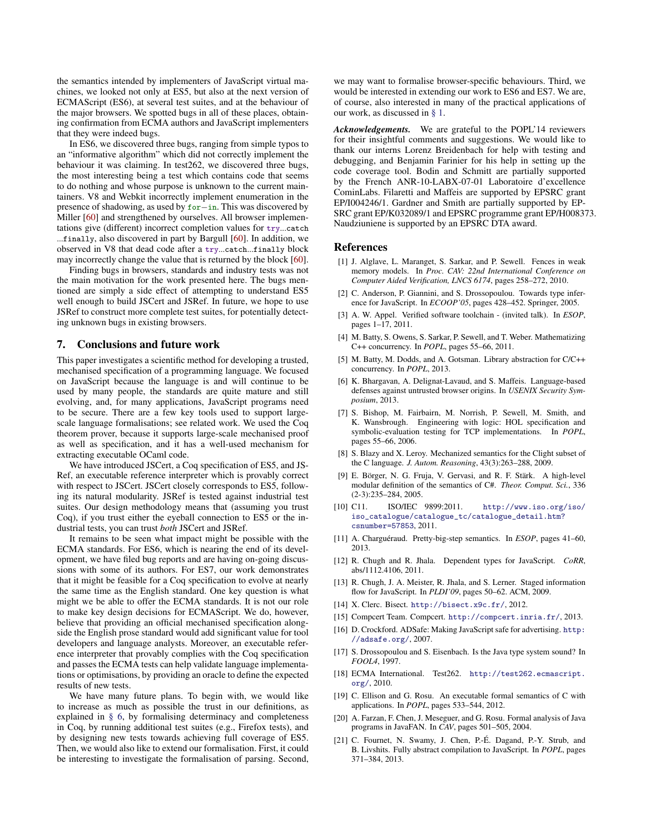the semantics intended by implementers of JavaScript virtual machines, we looked not only at ES5, but also at the next version of ECMAScript (ES6), at several test suites, and at the behaviour of the major browsers. We spotted bugs in all of these places, obtaining confirmation from ECMA authors and JavaScript implementers that they were indeed bugs.

In ES6, we discovered three bugs, ranging from simple typos to an "informative algorithm" which did not correctly implement the behaviour it was claiming. In test262, we discovered three bugs, the most interesting being a test which contains code that seems to do nothing and whose purpose is unknown to the current maintainers. V8 and Webkit incorrectly implement enumeration in the presence of shadowing, as used by for−in. This was discovered by Miller [\[60\]](#page-14-1) and strengthened by ourselves. All browser implementations give (different) incorrect completion values for try...catch ...finally, also discovered in part by Bargull [\[60\]](#page-14-1). In addition, we observed in V8 that dead code after a try...catch...finally block may incorrectly change the value that is returned by the block [\[60\]](#page-14-1).

Finding bugs in browsers, standards and industry tests was not the main motivation for the work presented here. The bugs mentioned are simply a side effect of attempting to understand ES5 well enough to build JSCert and JSRef. In future, we hope to use JSRef to construct more complete test suites, for potentially detecting unknown bugs in existing browsers.

## 7. Conclusions and future work

This paper investigates a scientific method for developing a trusted, mechanised specification of a programming language. We focused on JavaScript because the language is and will continue to be used by many people, the standards are quite mature and still evolving, and, for many applications, JavaScript programs need to be secure. There are a few key tools used to support largescale language formalisations; see related work. We used the Coq theorem prover, because it supports large-scale mechanised proof as well as specification, and it has a well-used mechanism for extracting executable OCaml code.

We have introduced JSCert, a Coq specification of ES5, and JS-Ref, an executable reference interpreter which is provably correct with respect to JSCert. JSCert closely corresponds to ES5, following its natural modularity. JSRef is tested against industrial test suites. Our design methodology means that (assuming you trust Coq), if you trust either the eyeball connection to ES5 or the industrial tests, you can trust *both* JSCert and JSRef.

It remains to be seen what impact might be possible with the ECMA standards. For ES6, which is nearing the end of its development, we have filed bug reports and are having on-going discussions with some of its authors. For ES7, our work demonstrates that it might be feasible for a Coq specification to evolve at nearly the same time as the English standard. One key question is what might we be able to offer the ECMA standards. It is not our role to make key design decisions for ECMAScript. We do, however, believe that providing an official mechanised specification alongside the English prose standard would add significant value for tool developers and language analysts. Moreover, an executable reference interpreter that provably complies with the Coq specification and passes the ECMA tests can help validate language implementations or optimisations, by providing an oracle to define the expected results of new tests.

We have many future plans. To begin with, we would like to increase as much as possible the trust in our definitions, as explained in [§ 6,](#page-11-0) by formalising determinacy and completeness in Coq, by running additional test suites (e.g., Firefox tests), and by designing new tests towards achieving full coverage of ES5. Then, we would also like to extend our formalisation. First, it could be interesting to investigate the formalisation of parsing. Second,

we may want to formalise browser-specific behaviours. Third, we would be interested in extending our work to ES6 and ES7. We are, of course, also interested in many of the practical applications of our work, as discussed in [§ 1.](#page-1-0)

*Acknowledgements.* We are grateful to the POPL'14 reviewers for their insightful comments and suggestions. We would like to thank our interns Lorenz Breidenbach for help with testing and debugging, and Benjamin Farinier for his help in setting up the code coverage tool. Bodin and Schmitt are partially supported by the French ANR-10-LABX-07-01 Laboratoire d'excellence CominLabs. Filaretti and Maffeis are supported by EPSRC grant EP/I004246/1. Gardner and Smith are partially supported by EP-SRC grant EP/K032089/1 and EPSRC programme grant EP/H008373. Naudziuniene is supported by an EPSRC DTA award.

## References

- <span id="page-13-8"></span>[1] J. Alglave, L. Maranget, S. Sarkar, and P. Sewell. Fences in weak memory models. In *Proc. CAV: 22nd International Conference on Computer Aided Verification, LNCS 6174*, pages 258–272, 2010.
- <span id="page-13-15"></span>[2] C. Anderson, P. Giannini, and S. Drossopoulou. Towards type inference for JavaScript. In *ECOOP'05*, pages 428–452. Springer, 2005.
- <span id="page-13-7"></span>[3] A. W. Appel. Verified software toolchain - (invited talk). In *ESOP*, pages 1–17, 2011.
- <span id="page-13-13"></span>[4] M. Batty, S. Owens, S. Sarkar, P. Sewell, and T. Weber. Mathematizing C++ concurrency. In *POPL*, pages 55–66, 2011.
- <span id="page-13-14"></span>[5] M. Batty, M. Dodds, and A. Gotsman. Library abstraction for C/C++ concurrency. In *POPL*, 2013.
- <span id="page-13-18"></span>[6] K. Bhargavan, A. Delignat-Lavaud, and S. Maffeis. Language-based defenses against untrusted browser origins. In *USENIX Security Symposium*, 2013.
- <span id="page-13-5"></span>[7] S. Bishop, M. Fairbairn, M. Norrish, P. Sewell, M. Smith, and K. Wansbrough. Engineering with logic: HOL specification and symbolic-evaluation testing for TCP implementations. In *POPL*, pages 55–66, 2006.
- <span id="page-13-1"></span>[8] S. Blazy and X. Leroy. Mechanized semantics for the Clight subset of the C language. *J. Autom. Reasoning*, 43(3):263–288, 2009.
- <span id="page-13-11"></span>[9] E. Börger, N. G. Fruja, V. Gervasi, and R. F. Stärk. A high-level modular definition of the semantics of C#. *Theor. Comput. Sci.*, 336 (2-3):235–284, 2005.
- <span id="page-13-4"></span>[10] C11. ISO/IEC 9899:2011. [http://www.iso.org/iso/](http://www.iso.org/iso/iso_catalogue/catalogue_tc/catalogue_detail.htm?csnumber=57853) [iso\\_catalogue/catalogue\\_tc/catalogue\\_detail.htm?](http://www.iso.org/iso/iso_catalogue/catalogue_tc/catalogue_detail.htm?csnumber=57853) [csnumber=57853](http://www.iso.org/iso/iso_catalogue/catalogue_tc/catalogue_detail.htm?csnumber=57853), 2011.
- <span id="page-13-0"></span>[11] A. Charguéraud. Pretty-big-step semantics. In *ESOP*, pages 41–60, 2013.
- <span id="page-13-16"></span>[12] R. Chugh and R. Jhala. Dependent types for JavaScript. *CoRR*, abs/1112.4106, 2011.
- <span id="page-13-17"></span>[13] R. Chugh, J. A. Meister, R. Jhala, and S. Lerner. Staged information flow for JavaScript. In *PLDI'09*, pages 50–62. ACM, 2009.
- <span id="page-13-3"></span>[14] X. Clerc. Bisect. <http://bisect.x9c.fr/>, 2012.
- <span id="page-13-6"></span>[15] Compcert Team. Compcert. <http://compcert.inria.fr/>, 2013.
- <span id="page-13-19"></span>[16] D. Crockford. ADSafe: Making JavaScript safe for advertising. [http:](http://adsafe.org/) [//adsafe.org/](http://adsafe.org/), 2007.
- <span id="page-13-10"></span>[17] S. Drossopoulou and S. Eisenbach. Is the Java type system sound? In *FOOL4*, 1997.
- <span id="page-13-2"></span>[18] ECMA International. Test262. [http://test262.ecmascript.](http://test262.ecmascript.org/) [org/](http://test262.ecmascript.org/), 2010.
- <span id="page-13-9"></span>[19] C. Ellison and G. Rosu. An executable formal semantics of C with applications. In *POPL*, pages 533–544, 2012.
- <span id="page-13-12"></span>[20] A. Farzan, F. Chen, J. Meseguer, and G. Rosu. Formal analysis of Java programs in JavaFAN. In *CAV*, pages 501–505, 2004.
- <span id="page-13-20"></span>[21] C. Fournet, N. Swamy, J. Chen, P.-É. Dagand, P.-Y. Strub, and B. Livshits. Fully abstract compilation to JavaScript. In *POPL*, pages 371–384, 2013.